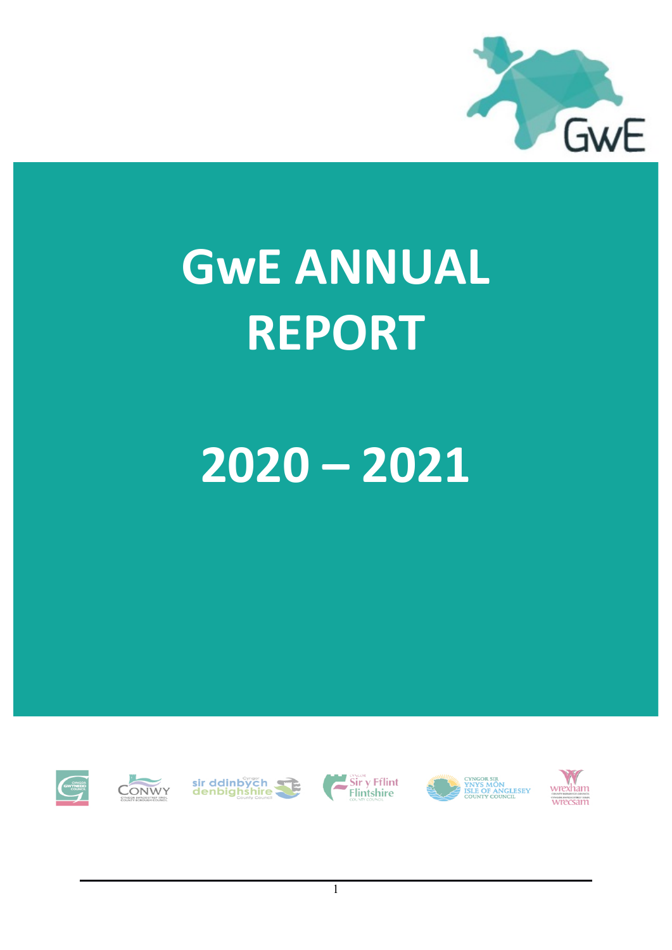

# **GwE ANNUAL REPORT**

## **2020 – 2021**













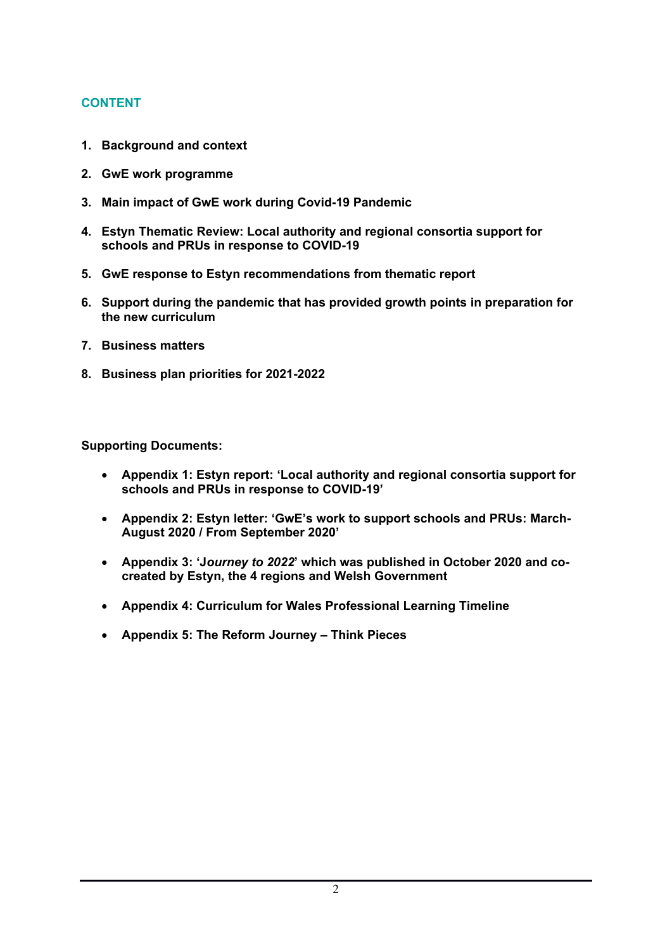## **CONTENT**

- **1. Background and context**
- **2. GwE work programme**
- **3. Main impact of GwE work during Covid-19 Pandemic**
- **4. Estyn Thematic Review: Local authority and regional consortia support for schools and PRUs in response to COVID-19**
- **5. GwE response to Estyn recommendations from thematic report**
- **6. Support during the pandemic that has provided growth points in preparation for the new curriculum**
- **7. Business matters**
- **8. Business plan priorities for 2021-2022**

**Supporting Documents:**

- **Appendix 1: Estyn report: 'Local authority and regional consortia support for schools and PRUs in response to COVID-19'**
- **Appendix 2: Estyn letter: 'GwE's work to support schools and PRUs: March-August 2020 / From September 2020'**
- **Appendix 3: 'J***ourney to 2022***' which was published in October 2020 and cocreated by Estyn, the 4 regions and Welsh Government**
- **Appendix 4: Curriculum for Wales Professional Learning Timeline**
- **Appendix 5: The Reform Journey – Think Pieces**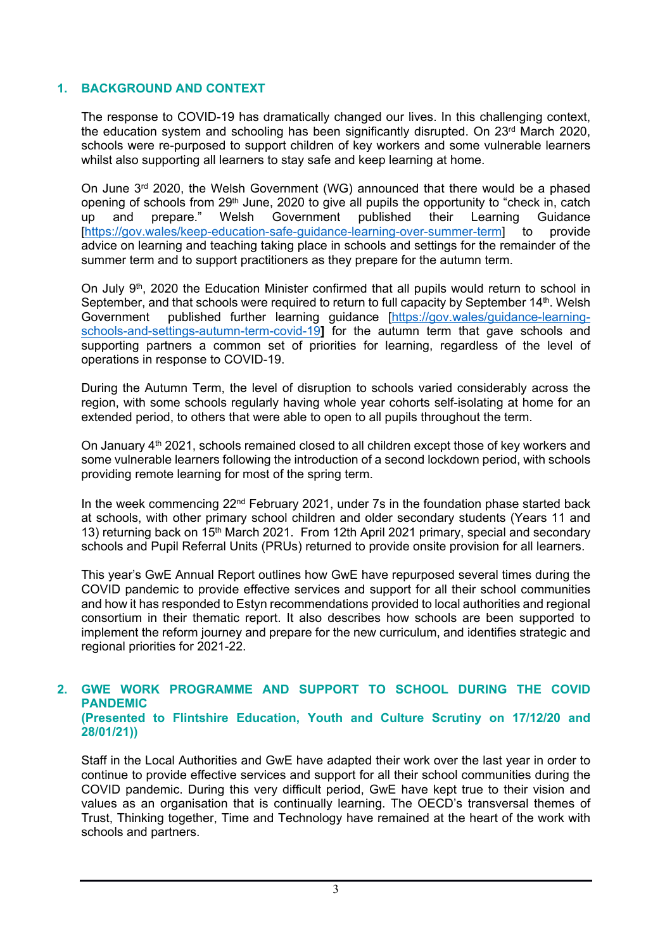#### **1. BACKGROUND AND CONTEXT**

The response to COVID-19 has dramatically changed our lives. In this challenging context, the education system and schooling has been significantly disrupted. On  $23<sup>rd</sup>$  March 2020, schools were re-purposed to support children of key workers and some vulnerable learners whilst also supporting all learners to stay safe and keep learning at home.

On June 3<sup>rd</sup> 2020, the Welsh Government (WG) announced that there would be a phased opening of schools from 29<sup>th</sup> June, 2020 to give all pupils the opportunity to "check in, catch up and prepare." Welsh Government published their Learning Guidance up and prepare." Welsh Government published their Learning Guidance [\[https://gov.wales/keep-education-safe-guidance-learning-over-summer-term\]](https://eur01.safelinks.protection.outlook.com/?url=https%3A%2F%2Fgov.wales%2Fkeep-education-safe-guidance-learning-over-summer-term&data=02%7C01%7CLloyd.Hopkin2%40gov.wales%7Cb9f0669368c54e2599d808d818381365%7Ca2cc36c592804ae78887d06dab89216b%7C0%7C0%7C637285976416815873&sdata=Zj6oOZ8O%2BAWKnytxR71PS06bdEV%2Fb4Hh%2Fl3XE74zKRQ%3D&reserved=0) to provide advice on learning and teaching taking place in schools and settings for the remainder of the summer term and to support practitioners as they prepare for the autumn term.

On July 9<sup>th</sup>, 2020 the Education Minister confirmed that all pupils would return to school in September, and that schools were required to return to full capacity by September 14<sup>th</sup>. Welsh Government published further learning guidance [\[https://gov.wales/guidance-learning](https://gov.wales/guidance-learning-schools-and-settings-autumn-term-covid-19)[schools-and-settings-autumn-term-covid-19](https://gov.wales/guidance-learning-schools-and-settings-autumn-term-covid-19)**]** for the autumn term that gave schools and supporting partners a common set of priorities for learning, regardless of the level of operations in response to COVID-19.

During the Autumn Term, the level of disruption to schools varied considerably across the region, with some schools regularly having whole year cohorts self-isolating at home for an extended period, to others that were able to open to all pupils throughout the term.

On January 4<sup>th</sup> 2021, schools remained closed to all children except those of key workers and some vulnerable learners following the introduction of a second lockdown period, with schools providing remote learning for most of the spring term.

In the week commencing 22<sup>nd</sup> February 2021, under 7s in the foundation phase started back at schools, with other primary school children and older secondary students (Years 11 and 13) returning back on 15<sup>th</sup> March 2021. From 12th April 2021 primary, special and secondary schools and Pupil Referral Units (PRUs) returned to provide onsite provision for all learners.

This year's GwE Annual Report outlines how GwE have repurposed several times during the COVID pandemic to provide effective services and support for all their school communities and how it has responded to Estyn recommendations provided to local authorities and regional consortium in their thematic report. It also describes how schools are been supported to implement the reform journey and prepare for the new curriculum, and identifies strategic and regional priorities for 2021-22.

#### **2. GWE WORK PROGRAMME AND SUPPORT TO SCHOOL DURING THE COVID PANDEMIC (Presented to Flintshire Education, Youth and Culture Scrutiny on 17/12/20 and 28/01/21))**

Staff in the Local Authorities and GwE have adapted their work over the last year in order to continue to provide effective services and support for all their school communities during the COVID pandemic. During this very difficult period, GwE have kept true to their vision and values as an organisation that is continually learning. The OECD's transversal themes of Trust, Thinking together, Time and Technology have remained at the heart of the work with schools and partners.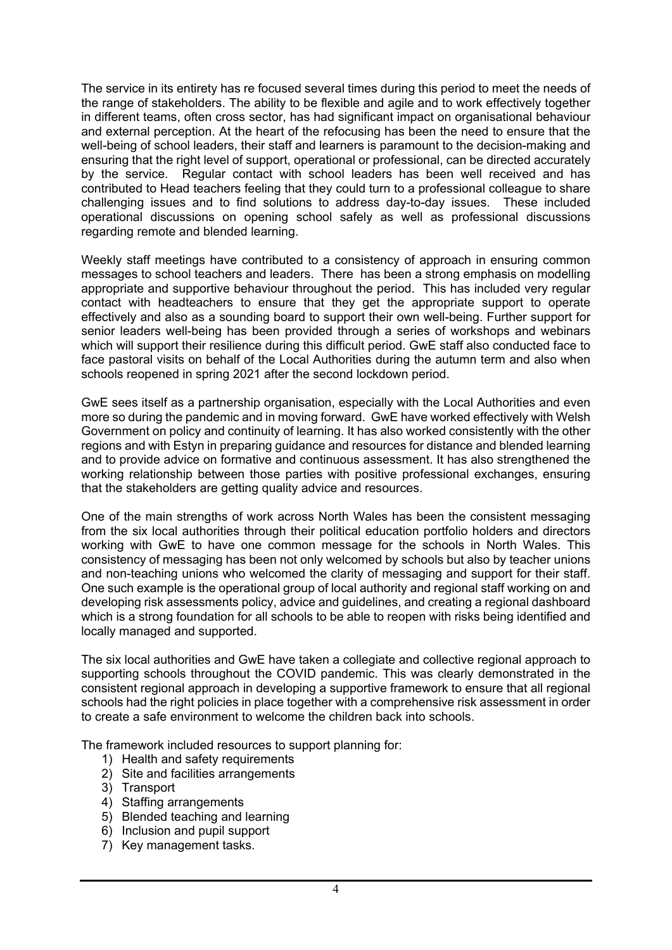The service in its entirety has re focused several times during this period to meet the needs of the range of stakeholders. The ability to be flexible and agile and to work effectively together in different teams, often cross sector, has had significant impact on organisational behaviour and external perception. At the heart of the refocusing has been the need to ensure that the well-being of school leaders, their staff and learners is paramount to the decision-making and ensuring that the right level of support, operational or professional, can be directed accurately by the service. Regular contact with school leaders has been well received and has contributed to Head teachers feeling that they could turn to a professional colleague to share challenging issues and to find solutions to address day-to-day issues. These included operational discussions on opening school safely as well as professional discussions regarding remote and blended learning.

Weekly staff meetings have contributed to a consistency of approach in ensuring common messages to school teachers and leaders. There has been a strong emphasis on modelling appropriate and supportive behaviour throughout the period. This has included very regular contact with headteachers to ensure that they get the appropriate support to operate effectively and also as a sounding board to support their own well-being. Further support for senior leaders well-being has been provided through a series of workshops and webinars which will support their resilience during this difficult period. GwE staff also conducted face to face pastoral visits on behalf of the Local Authorities during the autumn term and also when schools reopened in spring 2021 after the second lockdown period.

GwE sees itself as a partnership organisation, especially with the Local Authorities and even more so during the pandemic and in moving forward. GwE have worked effectively with Welsh Government on policy and continuity of learning. It has also worked consistently with the other regions and with Estyn in preparing guidance and resources for distance and blended learning and to provide advice on formative and continuous assessment. It has also strengthened the working relationship between those parties with positive professional exchanges, ensuring that the stakeholders are getting quality advice and resources.

One of the main strengths of work across North Wales has been the consistent messaging from the six local authorities through their political education portfolio holders and directors working with GwE to have one common message for the schools in North Wales. This consistency of messaging has been not only welcomed by schools but also by teacher unions and non-teaching unions who welcomed the clarity of messaging and support for their staff. One such example is the operational group of local authority and regional staff working on and developing risk assessments policy, advice and guidelines, and creating a regional dashboard which is a strong foundation for all schools to be able to reopen with risks being identified and locally managed and supported.

The six local authorities and GwE have taken a collegiate and collective regional approach to supporting schools throughout the COVID pandemic. This was clearly demonstrated in the consistent regional approach in developing a supportive framework to ensure that all regional schools had the right policies in place together with a comprehensive risk assessment in order to create a safe environment to welcome the children back into schools.

The framework included resources to support planning for:

- 1) Health and safety requirements
- 2) Site and facilities arrangements
- 3) Transport
- 4) Staffing arrangements
- 5) Blended teaching and learning
- 6) Inclusion and pupil support
- 7) Key management tasks.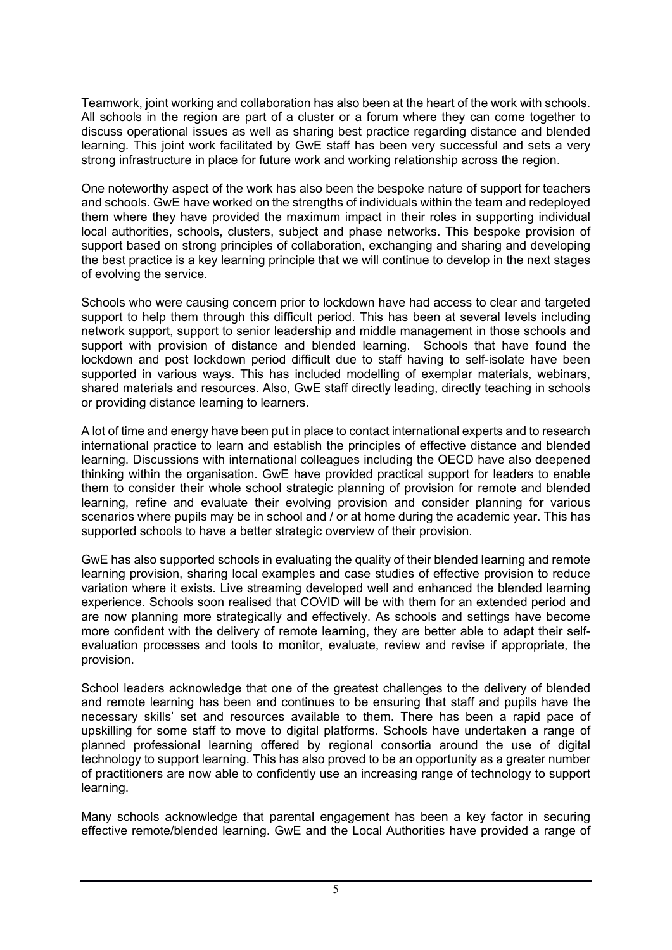Teamwork, joint working and collaboration has also been at the heart of the work with schools. All schools in the region are part of a cluster or a forum where they can come together to discuss operational issues as well as sharing best practice regarding distance and blended learning. This joint work facilitated by GwE staff has been very successful and sets a very strong infrastructure in place for future work and working relationship across the region.

One noteworthy aspect of the work has also been the bespoke nature of support for teachers and schools. GwE have worked on the strengths of individuals within the team and redeployed them where they have provided the maximum impact in their roles in supporting individual local authorities, schools, clusters, subject and phase networks. This bespoke provision of support based on strong principles of collaboration, exchanging and sharing and developing the best practice is a key learning principle that we will continue to develop in the next stages of evolving the service.

Schools who were causing concern prior to lockdown have had access to clear and targeted support to help them through this difficult period. This has been at several levels including network support, support to senior leadership and middle management in those schools and support with provision of distance and blended learning. Schools that have found the lockdown and post lockdown period difficult due to staff having to self-isolate have been supported in various ways. This has included modelling of exemplar materials, webinars, shared materials and resources. Also, GwE staff directly leading, directly teaching in schools or providing distance learning to learners.

A lot of time and energy have been put in place to contact international experts and to research international practice to learn and establish the principles of effective distance and blended learning. Discussions with international colleagues including the OECD have also deepened thinking within the organisation. GwE have provided practical support for leaders to enable them to consider their whole school strategic planning of provision for remote and blended learning, refine and evaluate their evolving provision and consider planning for various scenarios where pupils may be in school and / or at home during the academic year. This has supported schools to have a better strategic overview of their provision.

GwE has also supported schools in evaluating the quality of their blended learning and remote learning provision, sharing local examples and case studies of effective provision to reduce variation where it exists. Live streaming developed well and enhanced the blended learning experience. Schools soon realised that COVID will be with them for an extended period and are now planning more strategically and effectively. As schools and settings have become more confident with the delivery of remote learning, they are better able to adapt their selfevaluation processes and tools to monitor, evaluate, review and revise if appropriate, the provision.

School leaders acknowledge that one of the greatest challenges to the delivery of blended and remote learning has been and continues to be ensuring that staff and pupils have the necessary skills' set and resources available to them. There has been a rapid pace of upskilling for some staff to move to digital platforms. Schools have undertaken a range of planned professional learning offered by regional consortia around the use of digital technology to support learning. This has also proved to be an opportunity as a greater number of practitioners are now able to confidently use an increasing range of technology to support learning.

Many schools acknowledge that parental engagement has been a key factor in securing effective remote/blended learning. GwE and the Local Authorities have provided a range of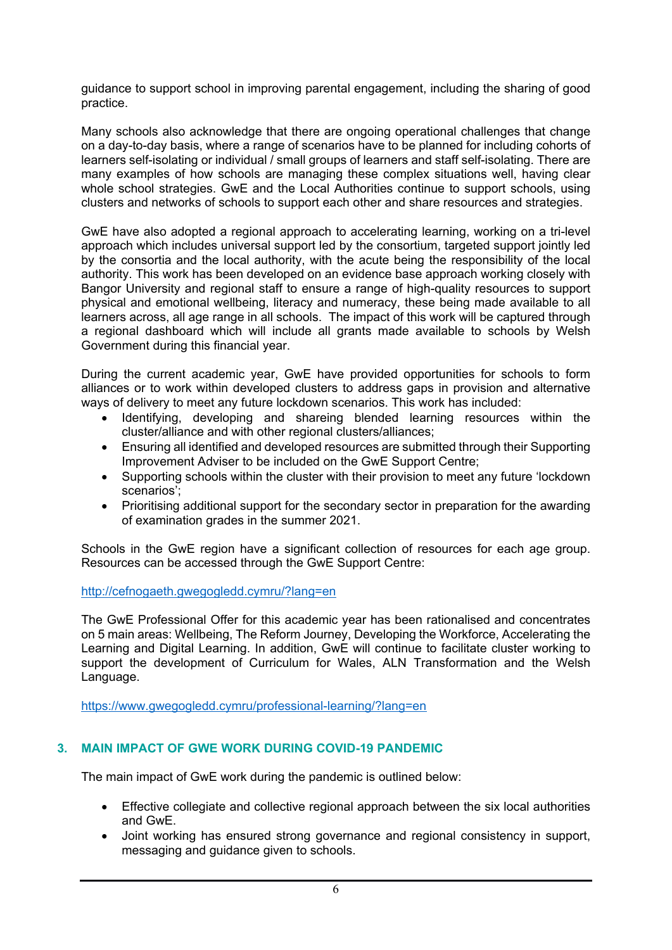guidance to support school in improving parental engagement, including the sharing of good practice.

Many schools also acknowledge that there are ongoing operational challenges that change on a day-to-day basis, where a range of scenarios have to be planned for including cohorts of learners self-isolating or individual / small groups of learners and staff self-isolating. There are many examples of how schools are managing these complex situations well, having clear whole school strategies. GwE and the Local Authorities continue to support schools, using clusters and networks of schools to support each other and share resources and strategies.

GwE have also adopted a regional approach to accelerating learning, working on a tri-level approach which includes universal support led by the consortium, targeted support jointly led by the consortia and the local authority, with the acute being the responsibility of the local authority. This work has been developed on an evidence base approach working closely with Bangor University and regional staff to ensure a range of high-quality resources to support physical and emotional wellbeing, literacy and numeracy, these being made available to all learners across, all age range in all schools. The impact of this work will be captured through a regional dashboard which will include all grants made available to schools by Welsh Government during this financial year.

During the current academic year, GwE have provided opportunities for schools to form alliances or to work within developed clusters to address gaps in provision and alternative ways of delivery to meet any future lockdown scenarios. This work has included:

- Identifying, developing and shareing blended learning resources within the cluster/alliance and with other regional clusters/alliances;
- Ensuring all identified and developed resources are submitted through their Supporting Improvement Adviser to be included on the GwE Support Centre;
- Supporting schools within the cluster with their provision to meet any future 'lockdown scenarios';
- Prioritising additional support for the secondary sector in preparation for the awarding of examination grades in the summer 2021.

Schools in the GwE region have a significant collection of resources for each age group. Resources can be accessed through the GwE Support Centre:

<http://cefnogaeth.gwegogledd.cymru/?lang=en>

The GwE Professional Offer for this academic year has been rationalised and concentrates on 5 main areas: Wellbeing, The Reform Journey, Developing the Workforce, Accelerating the Learning and Digital Learning. In addition, GwE will continue to facilitate cluster working to support the development of Curriculum for Wales, ALN Transformation and the Welsh Language.

<https://www.gwegogledd.cymru/professional-learning/?lang=en>

## **3. MAIN IMPACT OF GWE WORK DURING COVID-19 PANDEMIC**

The main impact of GwE work during the pandemic is outlined below:

- Effective collegiate and collective regional approach between the six local authorities and GwE.
- Joint working has ensured strong governance and regional consistency in support, messaging and guidance given to schools.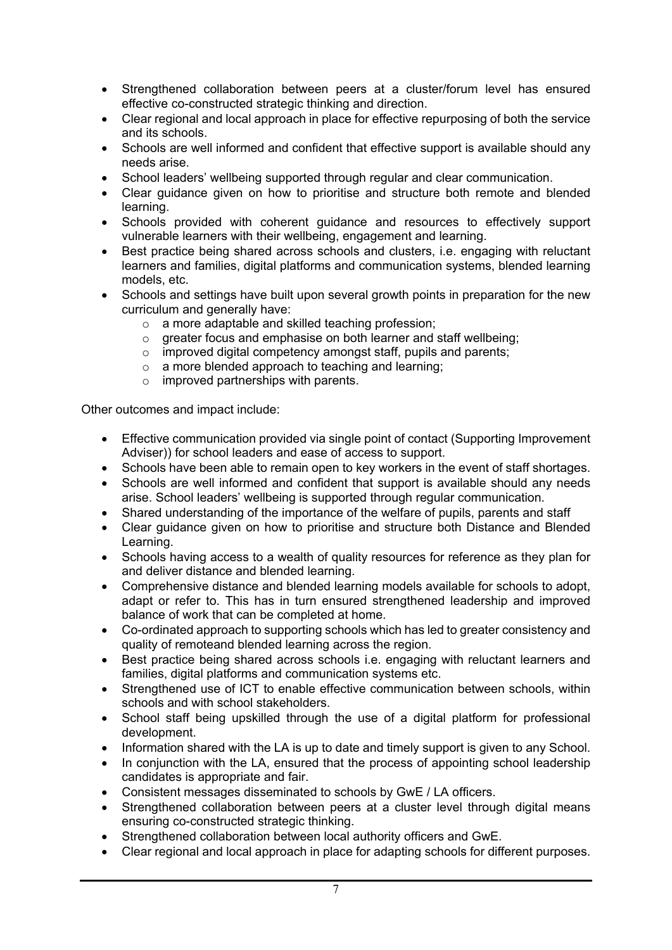- Strengthened collaboration between peers at a cluster/forum level has ensured effective co-constructed strategic thinking and direction.
- Clear regional and local approach in place for effective repurposing of both the service and its schools.
- Schools are well informed and confident that effective support is available should any needs arise.
- School leaders' wellbeing supported through regular and clear communication.
- Clear guidance given on how to prioritise and structure both remote and blended learning.
- Schools provided with coherent guidance and resources to effectively support vulnerable learners with their wellbeing, engagement and learning.
- Best practice being shared across schools and clusters, i.e. engaging with reluctant learners and families, digital platforms and communication systems, blended learning models, etc.
- Schools and settings have built upon several growth points in preparation for the new curriculum and generally have:
	- o a more adaptable and skilled teaching profession;
	- o greater focus and emphasise on both learner and staff wellbeing;
	- $\circ$  improved digital competency amongst staff, pupils and parents;
	- o a more blended approach to teaching and learning;
	- $\circ$  improved partnerships with parents.

Other outcomes and impact include:

- Effective communication provided via single point of contact (Supporting Improvement Adviser)) for school leaders and ease of access to support.
- Schools have been able to remain open to key workers in the event of staff shortages.
- Schools are well informed and confident that support is available should any needs arise. School leaders' wellbeing is supported through regular communication.
- Shared understanding of the importance of the welfare of pupils, parents and staff
- Clear guidance given on how to prioritise and structure both Distance and Blended Learning.
- Schools having access to a wealth of quality resources for reference as they plan for and deliver distance and blended learning.
- Comprehensive distance and blended learning models available for schools to adopt, adapt or refer to. This has in turn ensured strengthened leadership and improved balance of work that can be completed at home.
- Co-ordinated approach to supporting schools which has led to greater consistency and quality of remoteand blended learning across the region.
- Best practice being shared across schools i.e. engaging with reluctant learners and families, digital platforms and communication systems etc.
- Strengthened use of ICT to enable effective communication between schools, within schools and with school stakeholders.
- School staff being upskilled through the use of a digital platform for professional development.
- Information shared with the LA is up to date and timely support is given to any School.
- In conjunction with the LA, ensured that the process of appointing school leadership candidates is appropriate and fair.
- Consistent messages disseminated to schools by GwE / LA officers.
- Strengthened collaboration between peers at a cluster level through digital means ensuring co-constructed strategic thinking.
- Strengthened collaboration between local authority officers and GwE.
- Clear regional and local approach in place for adapting schools for different purposes.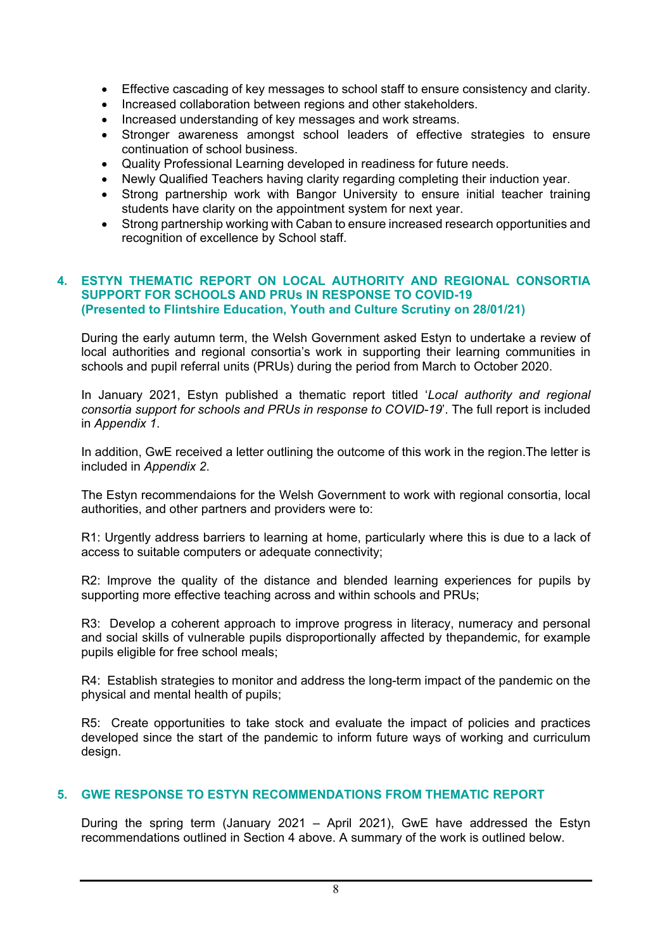- Effective cascading of key messages to school staff to ensure consistency and clarity.
- Increased collaboration between regions and other stakeholders.
- Increased understanding of key messages and work streams.
- Stronger awareness amongst school leaders of effective strategies to ensure continuation of school business.
- Quality Professional Learning developed in readiness for future needs.
- Newly Qualified Teachers having clarity regarding completing their induction year.
- Strong partnership work with Bangor University to ensure initial teacher training students have clarity on the appointment system for next year.
- Strong partnership working with Caban to ensure increased research opportunities and recognition of excellence by School staff.

#### **4. ESTYN THEMATIC REPORT ON LOCAL AUTHORITY AND REGIONAL CONSORTIA SUPPORT FOR SCHOOLS AND PRUs IN RESPONSE TO COVID-19 (Presented to Flintshire Education, Youth and Culture Scrutiny on 28/01/21)**

During the early autumn term, the Welsh Government asked Estyn to undertake a review of local authorities and regional consortia's work in supporting their learning communities in schools and pupil referral units (PRUs) during the period from March to October 2020.

In January 2021, Estyn published a thematic report titled '*Local authority and regional consortia support for schools and PRUs in response to COVID-19*'. The full report is included in *Appendix 1*.

In addition, GwE received a letter outlining the outcome of this work in the region.The letter is included in *Appendix 2*.

The Estyn recommendaions for the Welsh Government to work with regional consortia, local authorities, and other partners and providers were to:

R1: Urgently address barriers to learning at home, particularly where this is due to a lack of access to suitable computers or adequate connectivity;

R2: Improve the quality of the distance and blended learning experiences for pupils by supporting more effective teaching across and within schools and PRUs;

R3: Develop a coherent approach to improve progress in literacy, numeracy and personal and social skills of vulnerable pupils disproportionally affected by thepandemic, for example pupils eligible for free school meals;

R4: Establish strategies to monitor and address the long-term impact of the pandemic on the physical and mental health of pupils;

R5: Create opportunities to take stock and evaluate the impact of policies and practices developed since the start of the pandemic to inform future ways of working and curriculum design.

#### **5. GWE RESPONSE TO ESTYN RECOMMENDATIONS FROM THEMATIC REPORT**

During the spring term (January 2021 – April 2021), GwE have addressed the Estyn recommendations outlined in Section 4 above. A summary of the work is outlined below.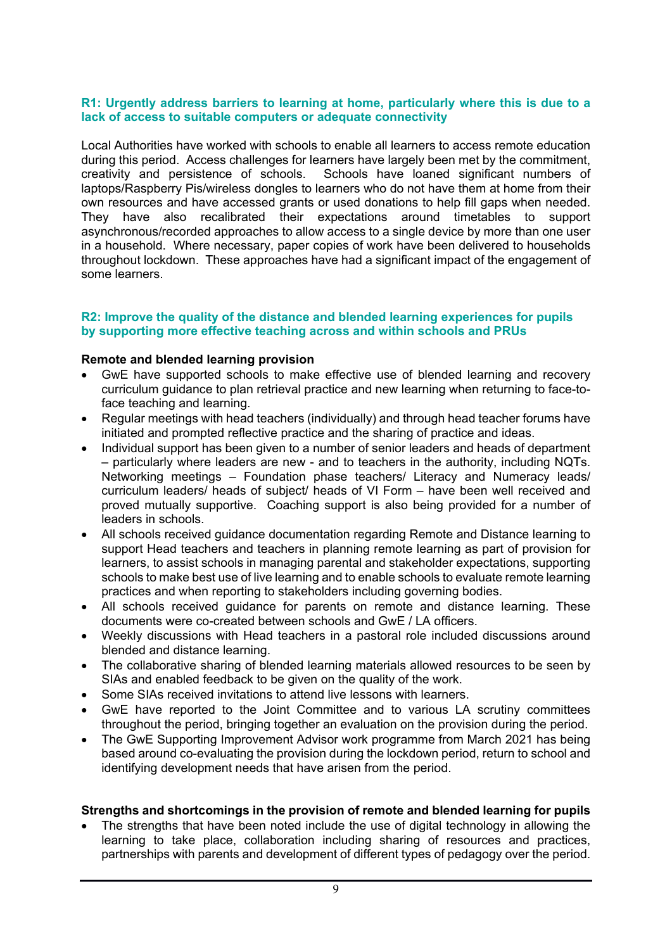#### **R1: Urgently address barriers to learning at home, particularly where this is due to a lack of access to suitable computers or adequate connectivity**

Local Authorities have worked with schools to enable all learners to access remote education during this period. Access challenges for learners have largely been met by the commitment, creativity and persistence of schools. Schools have loaned significant numbers of laptops/Raspberry Pis/wireless dongles to learners who do not have them at home from their own resources and have accessed grants or used donations to help fill gaps when needed. They have also recalibrated their expectations around timetables to support asynchronous/recorded approaches to allow access to a single device by more than one user in a household. Where necessary, paper copies of work have been delivered to households throughout lockdown. These approaches have had a significant impact of the engagement of some learners.

#### **R2: Improve the quality of the distance and blended learning experiences for pupils by supporting more effective teaching across and within schools and PRUs**

#### **Remote and blended learning provision**

- GwE have supported schools to make effective use of blended learning and recovery curriculum guidance to plan retrieval practice and new learning when returning to face-toface teaching and learning.
- Regular meetings with head teachers (individually) and through head teacher forums have initiated and prompted reflective practice and the sharing of practice and ideas.
- Individual support has been given to a number of senior leaders and heads of department – particularly where leaders are new - and to teachers in the authority, including NQTs. Networking meetings – Foundation phase teachers/ Literacy and Numeracy leads/ curriculum leaders/ heads of subject/ heads of VI Form – have been well received and proved mutually supportive. Coaching support is also being provided for a number of leaders in schools.
- All schools received guidance documentation regarding Remote and Distance learning to support Head teachers and teachers in planning remote learning as part of provision for learners, to assist schools in managing parental and stakeholder expectations, supporting schools to make best use of live learning and to enable schools to evaluate remote learning practices and when reporting to stakeholders including governing bodies.
- All schools received guidance for parents on remote and distance learning. These documents were co-created between schools and GwE / LA officers.
- Weekly discussions with Head teachers in a pastoral role included discussions around blended and distance learning.
- The collaborative sharing of blended learning materials allowed resources to be seen by SIAs and enabled feedback to be given on the quality of the work.
- Some SIAs received invitations to attend live lessons with learners.
- GwE have reported to the Joint Committee and to various LA scrutiny committees throughout the period, bringing together an evaluation on the provision during the period.
- The GwE Supporting Improvement Advisor work programme from March 2021 has being based around co-evaluating the provision during the lockdown period, return to school and identifying development needs that have arisen from the period.

#### **Strengths and shortcomings in the provision of remote and blended learning for pupils**

 The strengths that have been noted include the use of digital technology in allowing the learning to take place, collaboration including sharing of resources and practices, partnerships with parents and development of different types of pedagogy over the period.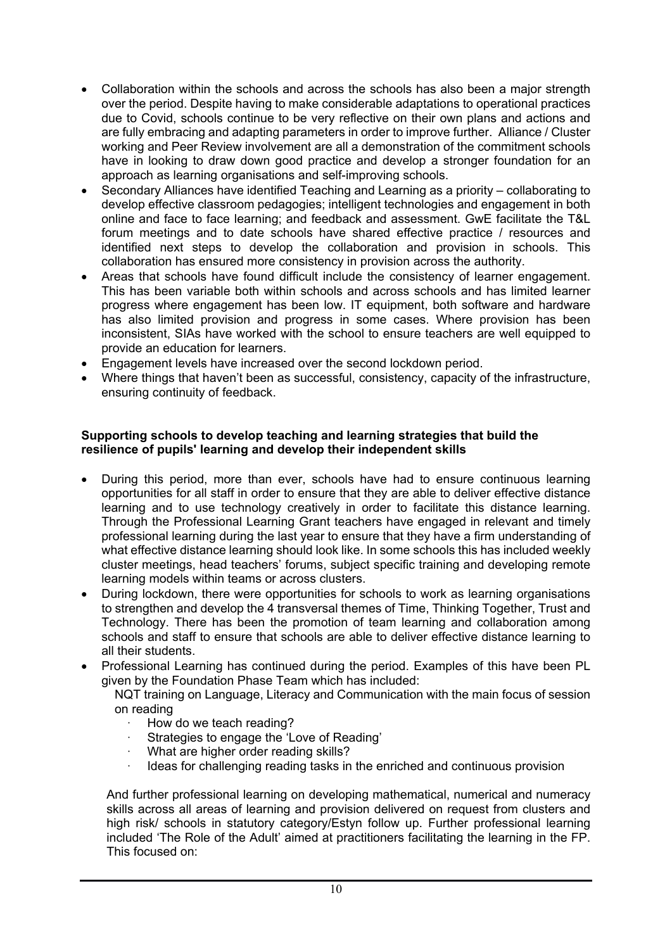- Collaboration within the schools and across the schools has also been a major strength over the period. Despite having to make considerable adaptations to operational practices due to Covid, schools continue to be very reflective on their own plans and actions and are fully embracing and adapting parameters in order to improve further. Alliance / Cluster working and Peer Review involvement are all a demonstration of the commitment schools have in looking to draw down good practice and develop a stronger foundation for an approach as learning organisations and self-improving schools.
- Secondary Alliances have identified Teaching and Learning as a priority collaborating to develop effective classroom pedagogies; intelligent technologies and engagement in both online and face to face learning; and feedback and assessment. GwE facilitate the T&L forum meetings and to date schools have shared effective practice / resources and identified next steps to develop the collaboration and provision in schools. This collaboration has ensured more consistency in provision across the authority.
- Areas that schools have found difficult include the consistency of learner engagement. This has been variable both within schools and across schools and has limited learner progress where engagement has been low. IT equipment, both software and hardware has also limited provision and progress in some cases. Where provision has been inconsistent, SIAs have worked with the school to ensure teachers are well equipped to provide an education for learners.
- Engagement levels have increased over the second lockdown period.
- Where things that haven't been as successful, consistency, capacity of the infrastructure, ensuring continuity of feedback.

#### **Supporting schools to develop teaching and learning strategies that build the resilience of pupils' learning and develop their independent skills**

- During this period, more than ever, schools have had to ensure continuous learning opportunities for all staff in order to ensure that they are able to deliver effective distance learning and to use technology creatively in order to facilitate this distance learning. Through the Professional Learning Grant teachers have engaged in relevant and timely professional learning during the last year to ensure that they have a firm understanding of what effective distance learning should look like. In some schools this has included weekly cluster meetings, head teachers' forums, subject specific training and developing remote learning models within teams or across clusters.
- During lockdown, there were opportunities for schools to work as learning organisations to strengthen and develop the 4 transversal themes of Time, Thinking Together, Trust and Technology. There has been the promotion of team learning and collaboration among schools and staff to ensure that schools are able to deliver effective distance learning to all their students.
- Professional Learning has continued during the period. Examples of this have been PL given by the Foundation Phase Team which has included:

NQT training on Language, Literacy and Communication with the main focus of session on reading

- How do we teach reading?
- Strategies to engage the 'Love of Reading'
- What are higher order reading skills?
- Ideas for challenging reading tasks in the enriched and continuous provision

And further professional learning on developing mathematical, numerical and numeracy skills across all areas of learning and provision delivered on request from clusters and high risk/ schools in statutory category/Estyn follow up. Further professional learning included 'The Role of the Adult' aimed at practitioners facilitating the learning in the FP. This focused on: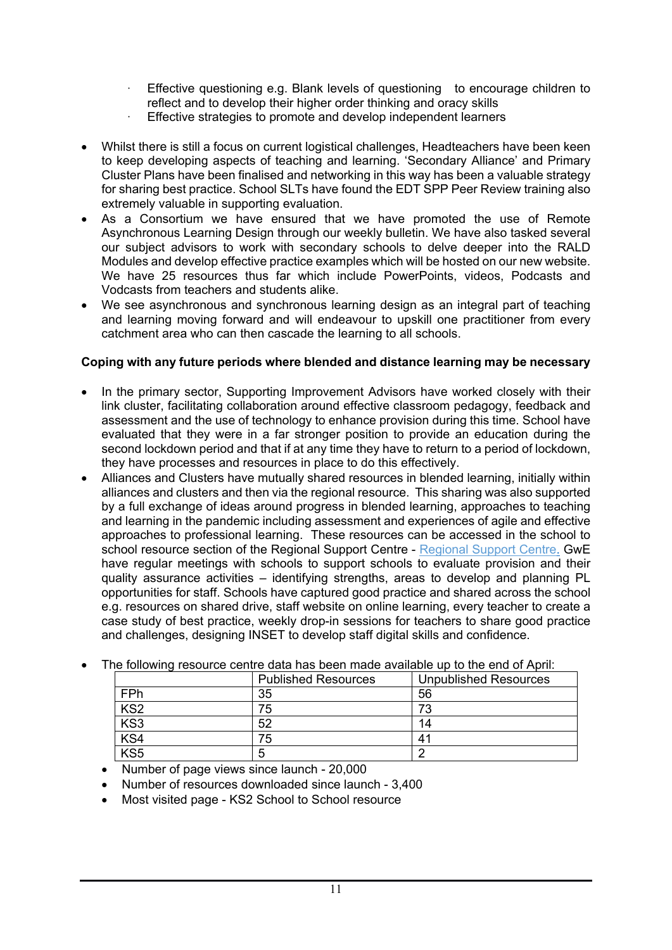- Effective questioning e.g. Blank levels of questioning to encourage children to reflect and to develop their higher order thinking and oracy skills
- · Effective strategies to promote and develop independent learners
- Whilst there is still a focus on current logistical challenges, Headteachers have been keen to keep developing aspects of teaching and learning. 'Secondary Alliance' and Primary Cluster Plans have been finalised and networking in this way has been a valuable strategy for sharing best practice. School SLTs have found the EDT SPP Peer Review training also extremely valuable in supporting evaluation.
- As a Consortium we have ensured that we have promoted the use of Remote Asynchronous Learning Design through our weekly bulletin. We have also tasked several our subject advisors to work with secondary schools to delve deeper into the RALD Modules and develop effective practice examples which will be hosted on our new website. We have 25 resources thus far which include PowerPoints, videos, Podcasts and Vodcasts from teachers and students alike.
- We see asynchronous and synchronous learning design as an integral part of teaching and learning moving forward and will endeavour to upskill one practitioner from every catchment area who can then cascade the learning to all schools.

## **Coping with any future periods where blended and distance learning may be necessary**

- In the primary sector, Supporting Improvement Advisors have worked closely with their link cluster, facilitating collaboration around effective classroom pedagogy, feedback and assessment and the use of technology to enhance provision during this time. School have evaluated that they were in a far stronger position to provide an education during the second lockdown period and that if at any time they have to return to a period of lockdown, they have processes and resources in place to do this effectively.
- Alliances and Clusters have mutually shared resources in blended learning, initially within alliances and clusters and then via the regional resource. This sharing was also supported by a full exchange of ideas around progress in blended learning, approaches to teaching and learning in the pandemic including assessment and experiences of agile and effective approaches to professional learning. These resources can be accessed in the school to school resource section of the [Regional](http://cefnogaeth.gwegogledd.cymru/ysgol-i-ysgol/?lang=en) Support Centre - Regional Support Centre. GwE have regular meetings with schools to support schools to evaluate provision and their quality assurance activities – identifying strengths, areas to develop and planning PL opportunities for staff. Schools have captured good practice and shared across the school e.g. resources on shared drive, staff website on online learning, every teacher to create a case study of best practice, weekly drop-in sessions for teachers to share good practice and challenges, designing INSET to develop staff digital skills and confidence.

|                 | <b>Published Resources</b> | <b>Unpublished Resources</b> |  |  |
|-----------------|----------------------------|------------------------------|--|--|
| FPh             | 35                         | 56                           |  |  |
| KS <sub>2</sub> | 75                         | 73                           |  |  |
| KS3             | 52                         | 14                           |  |  |
| KS4             | 75                         | 41                           |  |  |
| $\langle$ S5    | 5                          |                              |  |  |

The following resource centre data has been made available up to the end of April:

• Number of page views since launch - 20,000

- Number of resources downloaded since launch 3,400
- Most visited page KS2 School to School resource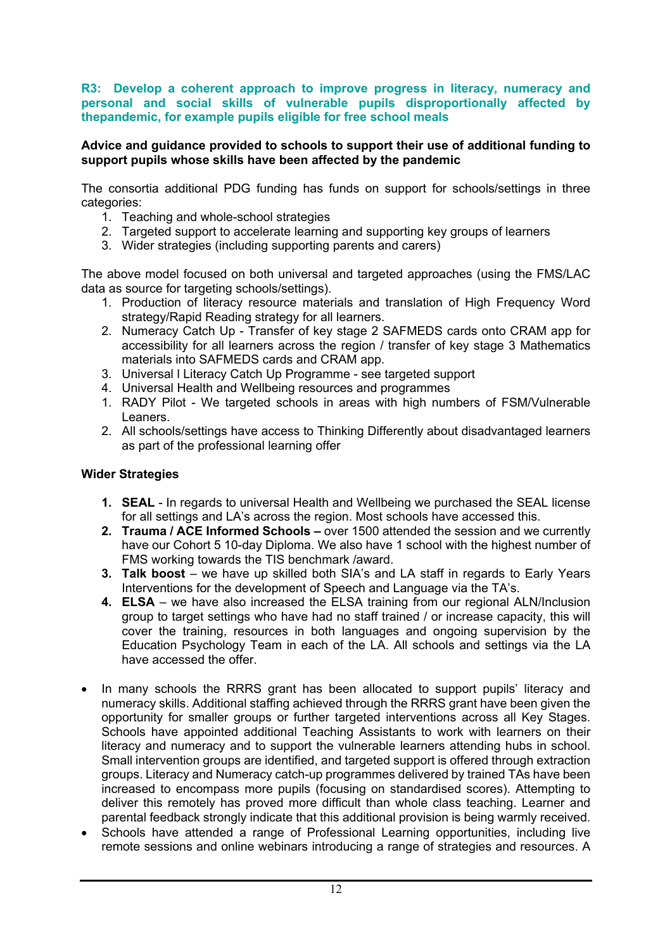**R3: Develop a coherent approach to improve progress in literacy, numeracy and personal and social skills of vulnerable pupils disproportionally affected by thepandemic, for example pupils eligible for free school meals**

#### **Advice and guidance provided to schools to support their use of additional funding to support pupils whose skills have been affected by the pandemic**

The consortia additional PDG funding has funds on support for schools/settings in three categories:

- 1. Teaching and whole-school strategies
- 2. Targeted support to accelerate learning and supporting key groups of learners
- 3. Wider strategies (including supporting parents and carers)

The above model focused on both universal and targeted approaches (using the FMS/LAC data as source for targeting schools/settings).

- 1. Production of literacy resource materials and translation of High Frequency Word strategy/Rapid Reading strategy for all learners.
- 2. Numeracy Catch Up Transfer of key stage 2 SAFMEDS cards onto CRAM app for accessibility for all learners across the region / transfer of key stage 3 Mathematics materials into SAFMEDS cards and CRAM app.
- 3. Universal l Literacy Catch Up Programme see targeted support
- 4. Universal Health and Wellbeing resources and programmes
- 1. RADY Pilot We targeted schools in areas with high numbers of FSM/Vulnerable Leaners.
- 2. All schools/settings have access to Thinking Differently about disadvantaged learners as part of the professional learning offer

#### **Wider Strategies**

- **1. SEAL** In regards to universal Health and Wellbeing we purchased the SEAL license for all settings and LA's across the region. Most schools have accessed this.
- **2. Trauma / ACE Informed Schools –** over 1500 attended the session and we currently have our Cohort 5 10-day Diploma. We also have 1 school with the highest number of FMS working towards the TIS benchmark /award.
- **3. Talk boost** we have up skilled both SIA's and LA staff in regards to Early Years Interventions for the development of Speech and Language via the TA's.
- **4. ELSA** we have also increased the ELSA training from our regional ALN/Inclusion group to target settings who have had no staff trained / or increase capacity, this will cover the training, resources in both languages and ongoing supervision by the Education Psychology Team in each of the LA. All schools and settings via the LA have accessed the offer.
- In many schools the RRRS grant has been allocated to support pupils' literacy and numeracy skills. Additional staffing achieved through the RRRS grant have been given the opportunity for smaller groups or further targeted interventions across all Key Stages. Schools have appointed additional Teaching Assistants to work with learners on their literacy and numeracy and to support the vulnerable learners attending hubs in school. Small intervention groups are identified, and targeted support is offered through extraction groups. Literacy and Numeracy catch-up programmes delivered by trained TAs have been increased to encompass more pupils (focusing on standardised scores). Attempting to deliver this remotely has proved more difficult than whole class teaching. Learner and parental feedback strongly indicate that this additional provision is being warmly received.
- Schools have attended a range of Professional Learning opportunities, including live remote sessions and online webinars introducing a range of strategies and resources. A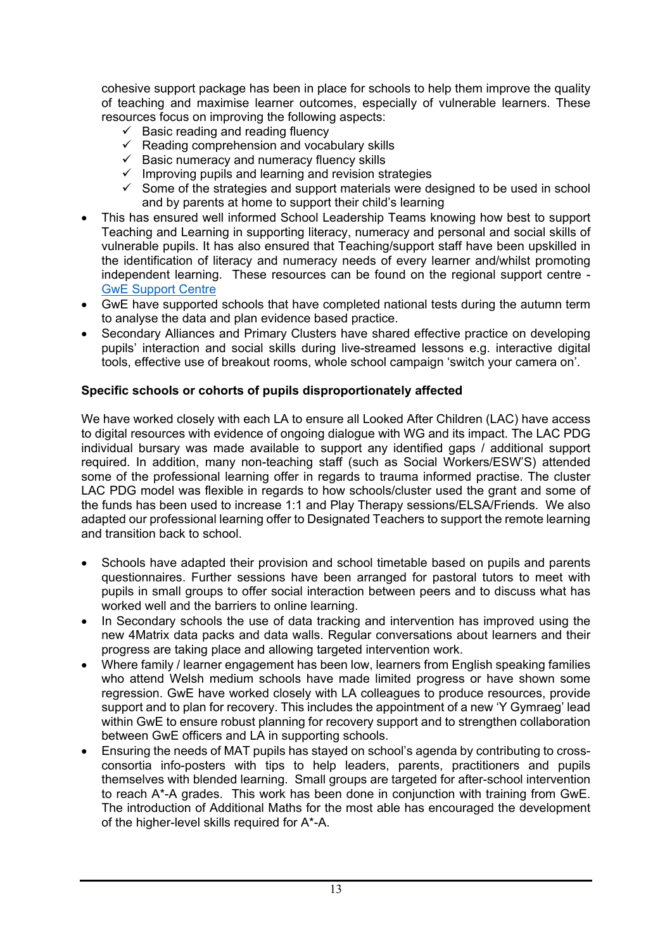cohesive support package has been in place for schools to help them improve the quality of teaching and maximise learner outcomes, especially of vulnerable learners. These resources focus on improving the following aspects:

- $\checkmark$  Basic reading and reading fluency
- $\checkmark$  Reading comprehension and vocabulary skills
- $\checkmark$  Basic numeracy and numeracy fluency skills
- $\checkmark$  Improving pupils and learning and revision strategies
- $\checkmark$  Some of the strategies and support materials were designed to be used in school and by parents at home to support their child's learning
- This has ensured well informed School Leadership Teams knowing how best to support Teaching and Learning in supporting literacy, numeracy and personal and social skills of vulnerable pupils. It has also ensured that Teaching/support staff have been upskilled in the identification of literacy and numeracy needs of every learner and/whilst promoting independent learning. These resources can be found on the regional support centre - GwE [Support](http://cefnogaeth.gwegogledd.cymru/adnoddau-gwe/?lang=en) Centre
- GwE have supported schools that have completed national tests during the autumn term to analyse the data and plan evidence based practice.
- Secondary Alliances and Primary Clusters have shared effective practice on developing pupils' interaction and social skills during live-streamed lessons e.g. interactive digital tools, effective use of breakout rooms, whole school campaign 'switch your camera on'.

## **Specific schools or cohorts of pupils disproportionately affected**

We have worked closely with each LA to ensure all Looked After Children (LAC) have access to digital resources with evidence of ongoing dialogue with WG and its impact. The LAC PDG individual bursary was made available to support any identified gaps / additional support required. In addition, many non-teaching staff (such as Social Workers/ESW'S) attended some of the professional learning offer in regards to trauma informed practise. The cluster LAC PDG model was flexible in regards to how schools/cluster used the grant and some of the funds has been used to increase 1:1 and Play Therapy sessions/ELSA/Friends. We also adapted our professional learning offer to Designated Teachers to support the remote learning and transition back to school.

- Schools have adapted their provision and school timetable based on pupils and parents questionnaires. Further sessions have been arranged for pastoral tutors to meet with pupils in small groups to offer social interaction between peers and to discuss what has worked well and the barriers to online learning.
- In Secondary schools the use of data tracking and intervention has improved using the new 4Matrix data packs and data walls. Regular conversations about learners and their progress are taking place and allowing targeted intervention work.
- Where family / learner engagement has been low, learners from English speaking families who attend Welsh medium schools have made limited progress or have shown some regression. GwE have worked closely with LA colleagues to produce resources, provide support and to plan for recovery. This includes the appointment of a new 'Y Gymraeg' lead within GwE to ensure robust planning for recovery support and to strengthen collaboration between GwE officers and LA in supporting schools.
- Ensuring the needs of MAT pupils has stayed on school's agenda by contributing to crossconsortia info-posters with tips to help leaders, parents, practitioners and pupils themselves with blended learning. Small groups are targeted for after-school intervention to reach A\*-A grades. This work has been done in conjunction with training from GwE. The introduction of Additional Maths for the most able has encouraged the development of the higher-level skills required for A\*-A.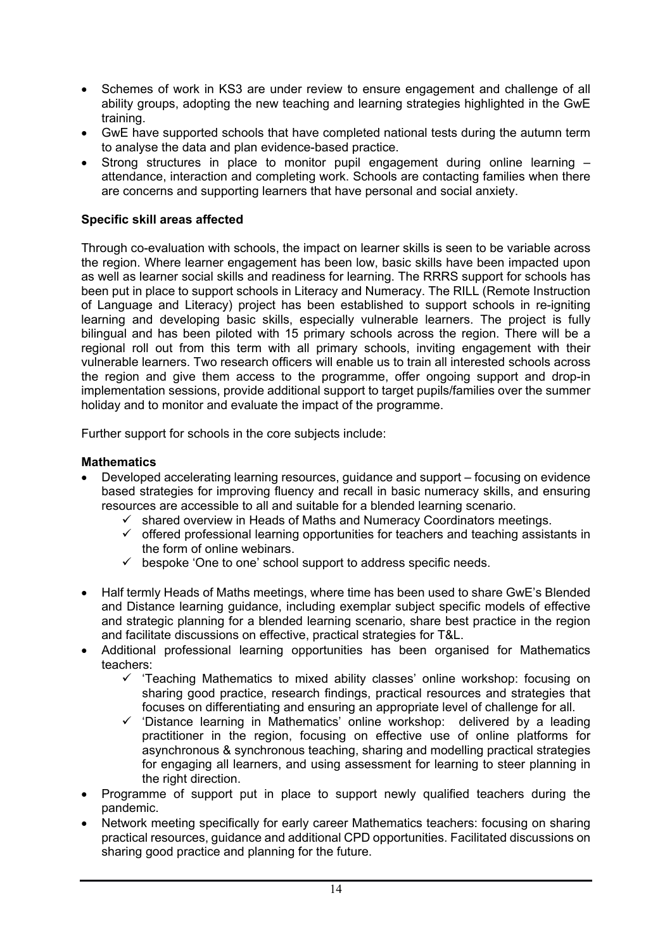- Schemes of work in KS3 are under review to ensure engagement and challenge of all ability groups, adopting the new teaching and learning strategies highlighted in the GwE training.
- GwE have supported schools that have completed national tests during the autumn term to analyse the data and plan evidence-based practice.
- Strong structures in place to monitor pupil engagement during online learning attendance, interaction and completing work. Schools are contacting families when there are concerns and supporting learners that have personal and social anxiety.

## **Specific skill areas affected**

Through co-evaluation with schools, the impact on learner skills is seen to be variable across the region. Where learner engagement has been low, basic skills have been impacted upon as well as learner social skills and readiness for learning. The RRRS support for schools has been put in place to support schools in Literacy and Numeracy. The RILL (Remote Instruction of Language and Literacy) project has been established to support schools in re-igniting learning and developing basic skills, especially vulnerable learners. The project is fully bilingual and has been piloted with 15 primary schools across the region. There will be a regional roll out from this term with all primary schools, inviting engagement with their vulnerable learners. Two research officers will enable us to train all interested schools across the region and give them access to the programme, offer ongoing support and drop-in implementation sessions, provide additional support to target pupils/families over the summer holiday and to monitor and evaluate the impact of the programme.

Further support for schools in the core subjects include:

#### **Mathematics**

- Developed accelerating learning resources, guidance and support focusing on evidence based strategies for improving fluency and recall in basic numeracy skills, and ensuring resources are accessible to all and suitable for a blended learning scenario.
	- $\checkmark$  shared overview in Heads of Maths and Numeracy Coordinators meetings.
	- $\checkmark$  offered professional learning opportunities for teachers and teaching assistants in the form of online webinars.
	- $\checkmark$  bespoke 'One to one' school support to address specific needs.
- Half termly Heads of Maths meetings, where time has been used to share GwE's Blended and Distance learning guidance, including exemplar subject specific models of effective and strategic planning for a blended learning scenario, share best practice in the region and facilitate discussions on effective, practical strategies for T&L.
- Additional professional learning opportunities has been organised for Mathematics teachers:
	- $\checkmark$  'Teaching Mathematics to mixed ability classes' online workshop: focusing on sharing good practice, research findings, practical resources and strategies that focuses on differentiating and ensuring an appropriate level of challenge for all.
	- 'Distance learning in Mathematics' online workshop: delivered by a leading practitioner in the region, focusing on effective use of online platforms for asynchronous & synchronous teaching, sharing and modelling practical strategies for engaging all learners, and using assessment for learning to steer planning in the right direction.
- Programme of support put in place to support newly qualified teachers during the pandemic.
- Network meeting specifically for early career Mathematics teachers: focusing on sharing practical resources, guidance and additional CPD opportunities. Facilitated discussions on sharing good practice and planning for the future.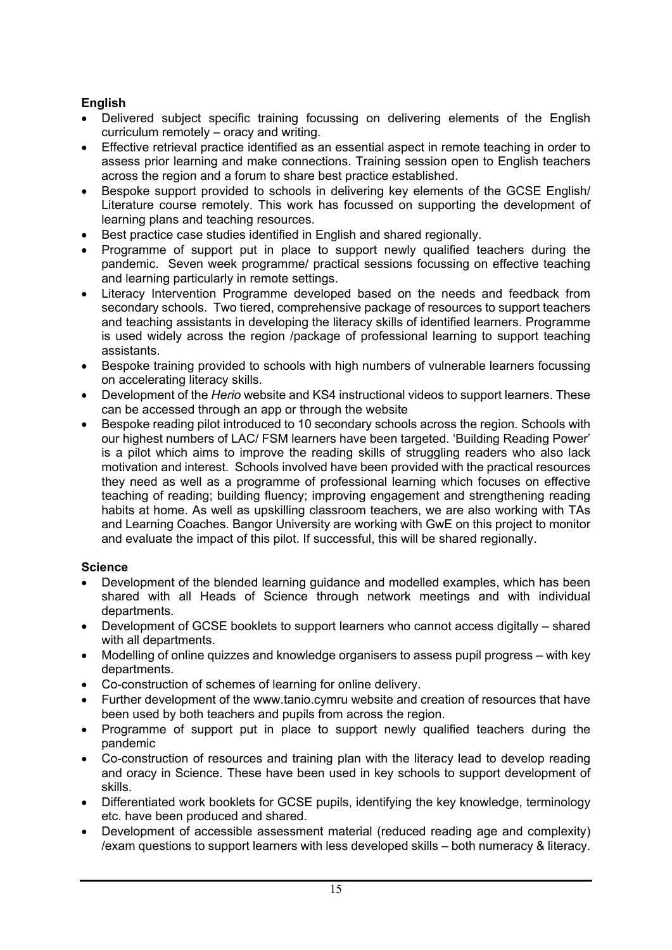## **English**

- Delivered subject specific training focussing on delivering elements of the English curriculum remotely – oracy and writing.
- Effective retrieval practice identified as an essential aspect in remote teaching in order to assess prior learning and make connections. Training session open to English teachers across the region and a forum to share best practice established.
- Bespoke support provided to schools in delivering key elements of the GCSE English/ Literature course remotely. This work has focussed on supporting the development of learning plans and teaching resources.
- Best practice case studies identified in English and shared regionally.
- Programme of support put in place to support newly qualified teachers during the pandemic. Seven week programme/ practical sessions focussing on effective teaching and learning particularly in remote settings.
- Literacy Intervention Programme developed based on the needs and feedback from secondary schools. Two tiered, comprehensive package of resources to support teachers and teaching assistants in developing the literacy skills of identified learners. Programme is used widely across the region /package of professional learning to support teaching assistants.
- Bespoke training provided to schools with high numbers of vulnerable learners focussing on accelerating literacy skills.
- Development of the *Herio* website and KS4 instructional videos to support learners. These can be accessed through an app or through the website
- Bespoke reading pilot introduced to 10 secondary schools across the region. Schools with our highest numbers of LAC/ FSM learners have been targeted. 'Building Reading Power' is a pilot which aims to improve the reading skills of struggling readers who also lack motivation and interest. Schools involved have been provided with the practical resources they need as well as a programme of professional learning which focuses on effective teaching of reading; building fluency; improving engagement and strengthening reading habits at home. As well as upskilling classroom teachers, we are also working with TAs and Learning Coaches. Bangor University are working with GwE on this project to monitor and evaluate the impact of this pilot. If successful, this will be shared regionally.

## **Science**

- Development of the blended learning guidance and modelled examples, which has been shared with all Heads of Science through network meetings and with individual departments.
- Development of GCSE booklets to support learners who cannot access digitally shared with all departments.
- Modelling of online quizzes and knowledge organisers to assess pupil progress with key departments.
- Co-construction of schemes of learning for online delivery.
- Further development of the www.tanio.cymru website and creation of resources that have been used by both teachers and pupils from across the region.
- Programme of support put in place to support newly qualified teachers during the pandemic
- Co-construction of resources and training plan with the literacy lead to develop reading and oracy in Science. These have been used in key schools to support development of skills.
- Differentiated work booklets for GCSE pupils, identifying the key knowledge, terminology etc. have been produced and shared.
- Development of accessible assessment material (reduced reading age and complexity) /exam questions to support learners with less developed skills – both numeracy & literacy.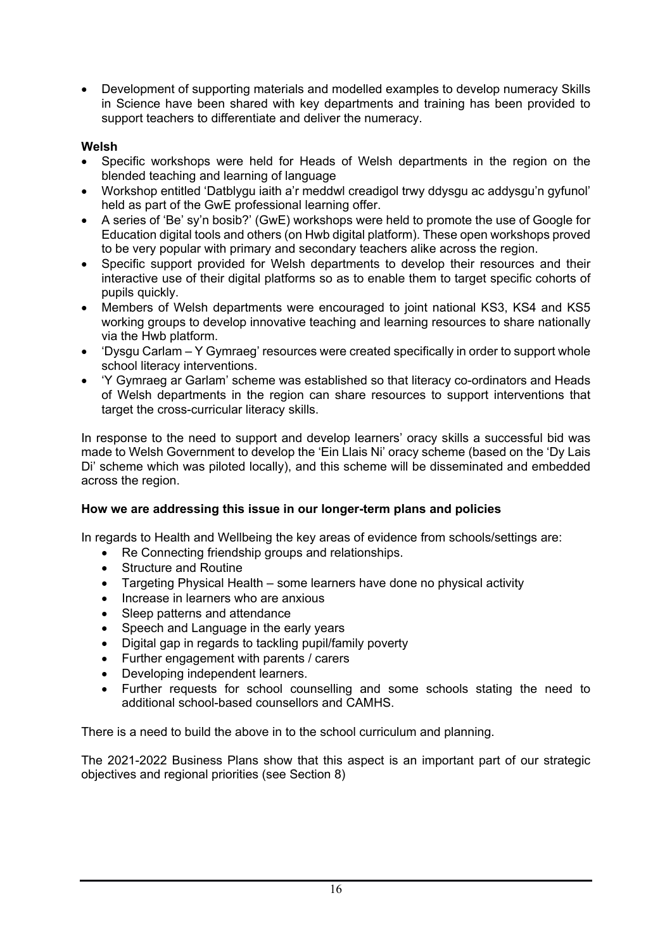Development of supporting materials and modelled examples to develop numeracy Skills in Science have been shared with key departments and training has been provided to support teachers to differentiate and deliver the numeracy.

## **Welsh**

- Specific workshops were held for Heads of Welsh departments in the region on the blended teaching and learning of language
- Workshop entitled 'Datblygu iaith a'r meddwl creadigol trwy ddysgu ac addysgu'n gyfunol' held as part of the GwE professional learning offer.
- A series of 'Be' sy'n bosib?' (GwE) workshops were held to promote the use of Google for Education digital tools and others (on Hwb digital platform). These open workshops proved to be very popular with primary and secondary teachers alike across the region.
- Specific support provided for Welsh departments to develop their resources and their interactive use of their digital platforms so as to enable them to target specific cohorts of pupils quickly.
- Members of Welsh departments were encouraged to joint national KS3, KS4 and KS5 working groups to develop innovative teaching and learning resources to share nationally via the Hwb platform.
- 'Dysgu Carlam Y Gymraeg' resources were created specifically in order to support whole school literacy interventions.
- 'Y Gymraeg ar Garlam' scheme was established so that literacy co-ordinators and Heads of Welsh departments in the region can share resources to support interventions that target the cross-curricular literacy skills.

In response to the need to support and develop learners' oracy skills a successful bid was made to Welsh Government to develop the 'Ein Llais Ni' oracy scheme (based on the 'Dy Lais Di' scheme which was piloted locally), and this scheme will be disseminated and embedded across the region.

## **How we are addressing this issue in our longer-term plans and policies**

In regards to Health and Wellbeing the key areas of evidence from schools/settings are:

- Re Connecting friendship groups and relationships.
- Structure and Routine
- Targeting Physical Health some learners have done no physical activity
- Increase in learners who are anxious
- Sleep patterns and attendance
- Speech and Language in the early years
- Digital gap in regards to tackling pupil/family poverty
- Further engagement with parents / carers
- Developing independent learners.
- Further requests for school counselling and some schools stating the need to additional school-based counsellors and CAMHS.

There is a need to build the above in to the school curriculum and planning.

The 2021-2022 Business Plans show that this aspect is an important part of our strategic objectives and regional priorities (see Section 8)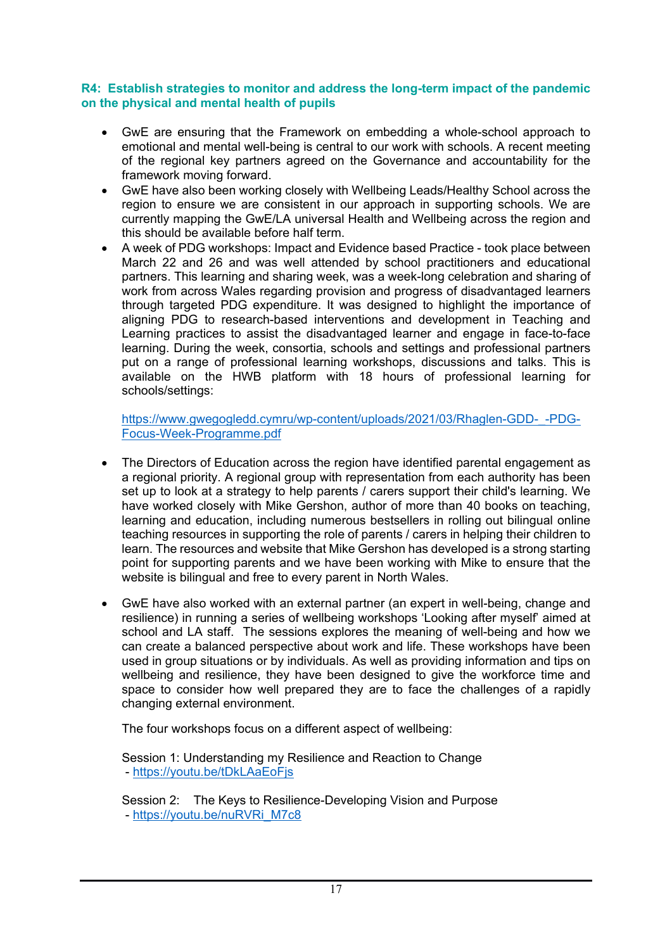#### **R4: Establish strategies to monitor and address the long-term impact of the pandemic on the physical and mental health of pupils**

- GwE are ensuring that the Framework on embedding a whole-school approach to emotional and mental well-being is central to our work with schools. A recent meeting of the regional key partners agreed on the Governance and accountability for the framework moving forward.
- GwE have also been working closely with Wellbeing Leads/Healthy School across the region to ensure we are consistent in our approach in supporting schools. We are currently mapping the GwE/LA universal Health and Wellbeing across the region and this should be available before half term.
- A week of PDG workshops: Impact and Evidence based Practice took place between March 22 and 26 and was well attended by school practitioners and educational partners. This learning and sharing week, was a week-long celebration and sharing of work from across Wales regarding provision and progress of disadvantaged learners through targeted PDG expenditure. It was designed to highlight the importance of aligning PDG to research-based interventions and development in Teaching and Learning practices to assist the disadvantaged learner and engage in face-to-face learning. During the week, consortia, schools and settings and professional partners put on a range of professional learning workshops, discussions and talks. This is available on the HWB platform with 18 hours of professional learning for schools/settings:

[https://www.gwegogledd.cymru/wp-content/uploads/2021/03/Rhaglen-GDD-\\_-PDG-](https://www.gwegogledd.cymru/wp-content/uploads/2021/03/Rhaglen-GDD-_-PDG-Focus-Week-Programme.pdf)[Focus-Week-Programme.pdf](https://www.gwegogledd.cymru/wp-content/uploads/2021/03/Rhaglen-GDD-_-PDG-Focus-Week-Programme.pdf)

- The Directors of Education across the region have identified parental engagement as a regional priority. A regional group with representation from each authority has been set up to look at a strategy to help parents / carers support their child's learning. We have worked closely with Mike Gershon, author of more than 40 books on teaching, learning and education, including numerous bestsellers in rolling out bilingual online teaching resources in supporting the role of parents / carers in helping their children to learn. The resources and website that Mike Gershon has developed is a strong starting point for supporting parents and we have been working with Mike to ensure that the website is bilingual and free to every parent in North Wales.
- GwE have also worked with an external partner (an expert in well-being, change and resilience) in running a series of wellbeing workshops 'Looking after myself' aimed at school and LA staff. The sessions explores the meaning of well-being and how we can create a balanced perspective about work and life. These workshops have been used in group situations or by individuals. As well as providing information and tips on wellbeing and resilience, they have been designed to give the workforce time and space to consider how well prepared they are to face the challenges of a rapidly changing external environment.

The four workshops focus on a different aspect of wellbeing:

Session 1: Understanding my Resilience and Reaction to Change - <https://youtu.be/tDkLAaEoFjs>

Session 2: The Keys to Resilience-Developing Vision and Purpose - [https://youtu.be/nuRVRi\\_M7c8](https://youtu.be/nuRVRi_M7c8)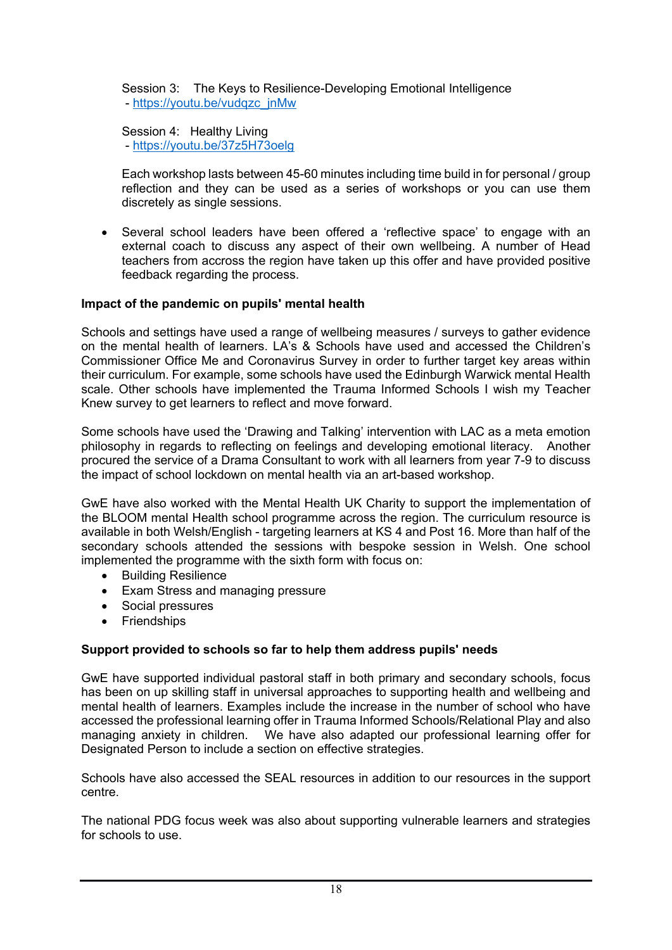Session 3: The Keys to Resilience-Developing Emotional Intelligence - [https://youtu.be/vudqzc\\_jnMw](https://youtu.be/vudqzc_jnMw)

Session 4: Healthy Living - <https://youtu.be/37z5H73oelg>

Each workshop lasts between 45-60 minutes including time build in for personal / group reflection and they can be used as a series of workshops or you can use them discretely as single sessions.

 Several school leaders have been offered a 'reflective space' to engage with an external coach to discuss any aspect of their own wellbeing. A number of Head teachers from accross the region have taken up this offer and have provided positive feedback regarding the process.

## **Impact of the pandemic on pupils' mental health**

Schools and settings have used a range of wellbeing measures / surveys to gather evidence on the mental health of learners. LA's & Schools have used and accessed the Children's Commissioner Office Me and Coronavirus Survey in order to further target key areas within their curriculum. For example, some schools have used the Edinburgh Warwick mental Health scale. Other schools have implemented the Trauma Informed Schools I wish my Teacher Knew survey to get learners to reflect and move forward.

Some schools have used the 'Drawing and Talking' intervention with LAC as a meta emotion philosophy in regards to reflecting on feelings and developing emotional literacy. Another procured the service of a Drama Consultant to work with all learners from year 7-9 to discuss the impact of school lockdown on mental health via an art-based workshop.

GwE have also worked with the Mental Health UK Charity to support the implementation of the BLOOM mental Health school programme across the region. The curriculum resource is available in both Welsh/English - targeting learners at KS 4 and Post 16. More than half of the secondary schools attended the sessions with bespoke session in Welsh. One school implemented the programme with the sixth form with focus on:

- **•** Building Resilience
- Exam Stress and managing pressure
- Social pressures
- Friendships

## **Support provided to schools so far to help them address pupils' needs**

GwE have supported individual pastoral staff in both primary and secondary schools, focus has been on up skilling staff in universal approaches to supporting health and wellbeing and mental health of learners. Examples include the increase in the number of school who have accessed the professional learning offer in Trauma Informed Schools/Relational Play and also managing anxiety in children. We have also adapted our professional learning offer for Designated Person to include a section on effective strategies.

Schools have also accessed the SEAL resources in addition to our resources in the support centre.

The national PDG focus week was also about supporting vulnerable learners and strategies for schools to use.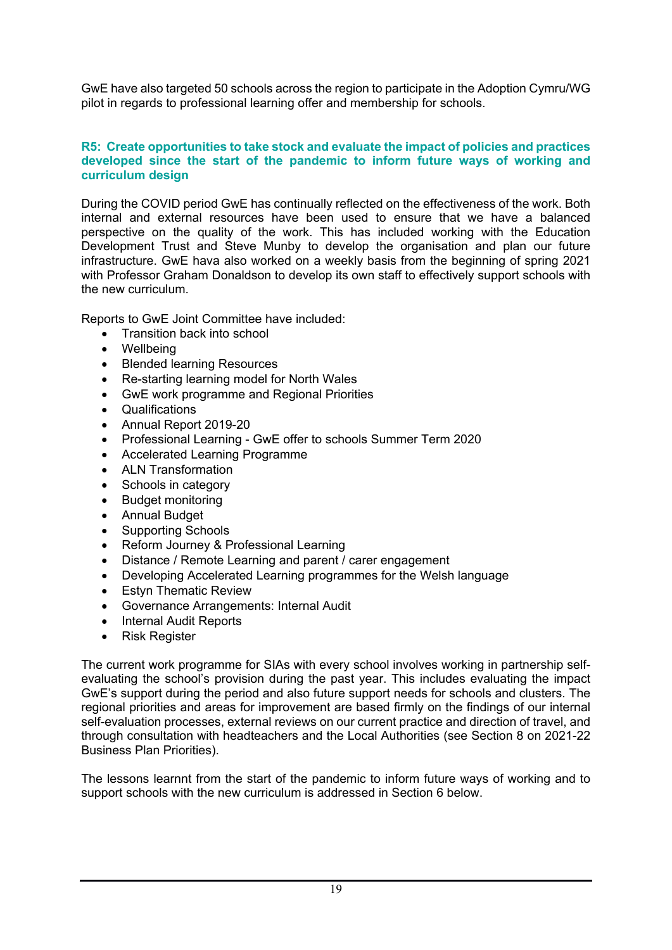GwE have also targeted 50 schools across the region to participate in the Adoption Cymru/WG pilot in regards to professional learning offer and membership for schools.

#### **R5: Create opportunities to take stock and evaluate the impact of policies and practices developed since the start of the pandemic to inform future ways of working and curriculum design**

During the COVID period GwE has continually reflected on the effectiveness of the work. Both internal and external resources have been used to ensure that we have a balanced perspective on the quality of the work. This has included working with the Education Development Trust and Steve Munby to develop the organisation and plan our future infrastructure. GwE hava also worked on a weekly basis from the beginning of spring 2021 with Professor Graham Donaldson to develop its own staff to effectively support schools with the new curriculum.

Reports to GwE Joint Committee have included:

- Transition back into school
- Wellbeing
- Blended learning Resources
- Re-starting learning model for North Wales
- GwE work programme and Regional Priorities
- Qualifications
- Annual Report 2019-20
- Professional Learning GwE offer to schools Summer Term 2020
- Accelerated Learning Programme
- ALN Transformation
- Schools in category
- Budget monitoring
- Annual Budget
- Supporting Schools
- Reform Journey & Professional Learning
- Distance / Remote Learning and parent / carer engagement
- Developing Accelerated Learning programmes for the Welsh language
- Estyn Thematic Review
- Governance Arrangements: Internal Audit
- Internal Audit Reports
- Risk Register

The current work programme for SIAs with every school involves working in partnership selfevaluating the school's provision during the past year. This includes evaluating the impact GwE's support during the period and also future support needs for schools and clusters. The regional priorities and areas for improvement are based firmly on the findings of our internal self-evaluation processes, external reviews on our current practice and direction of travel, and through consultation with headteachers and the Local Authorities (see Section 8 on 2021-22 Business Plan Priorities).

The lessons learnnt from the start of the pandemic to inform future ways of working and to support schools with the new curriculum is addressed in Section 6 below.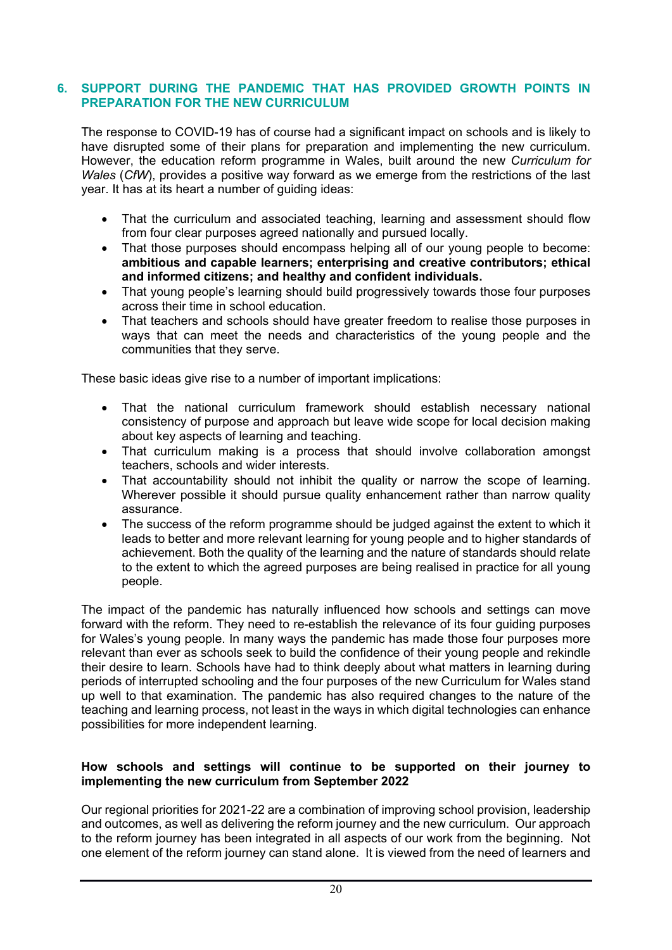#### **6. SUPPORT DURING THE PANDEMIC THAT HAS PROVIDED GROWTH POINTS IN PREPARATION FOR THE NEW CURRICULUM**

The response to COVID-19 has of course had a significant impact on schools and is likely to have disrupted some of their plans for preparation and implementing the new curriculum. However, the education reform programme in Wales, built around the new *Curriculum for Wales* (*CfW*), provides a positive way forward as we emerge from the restrictions of the last year. It has at its heart a number of guiding ideas:

- That the curriculum and associated teaching, learning and assessment should flow from four clear purposes agreed nationally and pursued locally.
- That those purposes should encompass helping all of our young people to become: **ambitious and capable learners; enterprising and creative contributors; ethical and informed citizens; and healthy and confident individuals.**
- That young people's learning should build progressively towards those four purposes across their time in school education.
- That teachers and schools should have greater freedom to realise those purposes in ways that can meet the needs and characteristics of the young people and the communities that they serve.

These basic ideas give rise to a number of important implications:

- That the national curriculum framework should establish necessary national consistency of purpose and approach but leave wide scope for local decision making about key aspects of learning and teaching.
- That curriculum making is a process that should involve collaboration amongst teachers, schools and wider interests.
- That accountability should not inhibit the quality or narrow the scope of learning. Wherever possible it should pursue quality enhancement rather than narrow quality assurance.
- The success of the reform programme should be judged against the extent to which it leads to better and more relevant learning for young people and to higher standards of achievement. Both the quality of the learning and the nature of standards should relate to the extent to which the agreed purposes are being realised in practice for all young people.

The impact of the pandemic has naturally influenced how schools and settings can move forward with the reform. They need to re-establish the relevance of its four guiding purposes for Wales's young people. In many ways the pandemic has made those four purposes more relevant than ever as schools seek to build the confidence of their young people and rekindle their desire to learn. Schools have had to think deeply about what matters in learning during periods of interrupted schooling and the four purposes of the new Curriculum for Wales stand up well to that examination. The pandemic has also required changes to the nature of the teaching and learning process, not least in the ways in which digital technologies can enhance possibilities for more independent learning.

#### **How schools and settings will continue to be supported on their journey to implementing the new curriculum from September 2022**

Our regional priorities for 2021-22 are a combination of improving school provision, leadership and outcomes, as well as delivering the reform journey and the new curriculum. Our approach to the reform journey has been integrated in all aspects of our work from the beginning. Not one element of the reform journey can stand alone. It is viewed from the need of learners and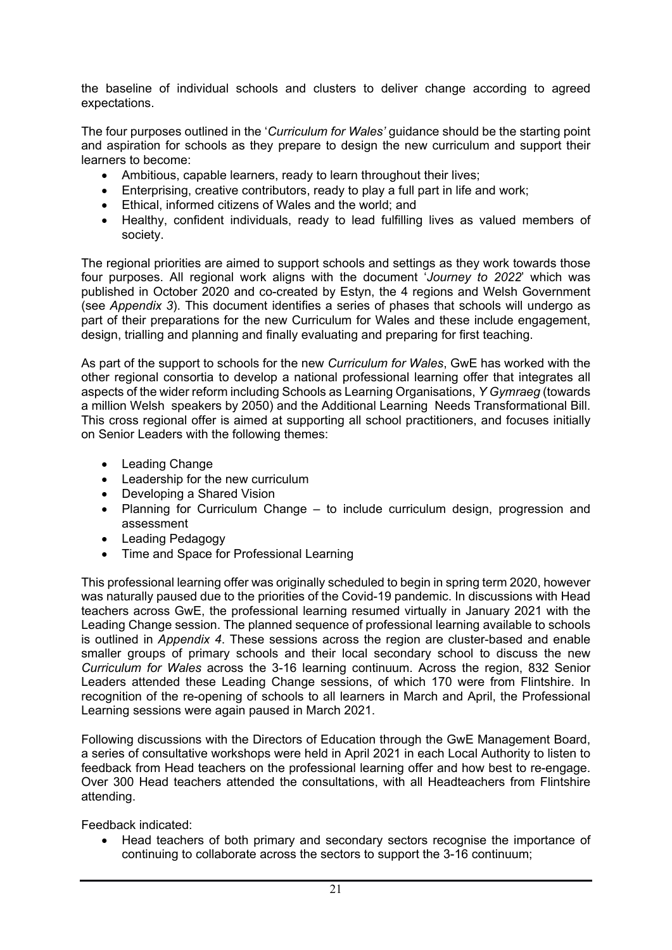the baseline of individual schools and clusters to deliver change according to agreed expectations.

The four purposes outlined in the '*Curriculum for Wales'* guidance should be the starting point and aspiration for schools as they prepare to design the new curriculum and support their learners to become:

- Ambitious, capable learners, ready to learn throughout their lives;
- Enterprising, creative contributors, ready to play a full part in life and work;
- Ethical, informed citizens of Wales and the world; and
- Healthy, confident individuals, ready to lead fulfilling lives as valued members of society.

The regional priorities are aimed to support schools and settings as they work towards those four purposes. All regional work aligns with the document '*Journey to 2022*' which was published in October 2020 and co-created by Estyn, the 4 regions and Welsh Government (see *Appendix 3*). This document identifies a series of phases that schools will undergo as part of their preparations for the new Curriculum for Wales and these include engagement, design, trialling and planning and finally evaluating and preparing for first teaching.

As part of the support to schools for the new *Curriculum for Wales*, GwE has worked with the other regional consortia to develop a national professional learning offer that integrates all aspects of the wider reform including Schools as Learning Organisations, *Y Gymraeg* (towards a million Welsh speakers by 2050) and the Additional Learning Needs Transformational Bill. This cross regional offer is aimed at supporting all school practitioners, and focuses initially on Senior Leaders with the following themes:

- Leading Change
- Leadership for the new curriculum
- Developing a Shared Vision
- Planning for Curriculum Change to include curriculum design, progression and assessment
- Leading Pedagogy
- Time and Space for Professional Learning

This professional learning offer was originally scheduled to begin in spring term 2020, however was naturally paused due to the priorities of the Covid-19 pandemic. In discussions with Head teachers across GwE, the professional learning resumed virtually in January 2021 with the Leading Change session. The planned sequence of professional learning available to schools is outlined in *Appendix 4*. These sessions across the region are cluster-based and enable smaller groups of primary schools and their local secondary school to discuss the new *Curriculum for Wales* across the 3-16 learning continuum. Across the region, 832 Senior Leaders attended these Leading Change sessions, of which 170 were from Flintshire. In recognition of the re-opening of schools to all learners in March and April, the Professional Learning sessions were again paused in March 2021.

Following discussions with the Directors of Education through the GwE Management Board, a series of consultative workshops were held in April 2021 in each Local Authority to listen to feedback from Head teachers on the professional learning offer and how best to re-engage. Over 300 Head teachers attended the consultations, with all Headteachers from Flintshire attending.

Feedback indicated:

 Head teachers of both primary and secondary sectors recognise the importance of continuing to collaborate across the sectors to support the 3-16 continuum;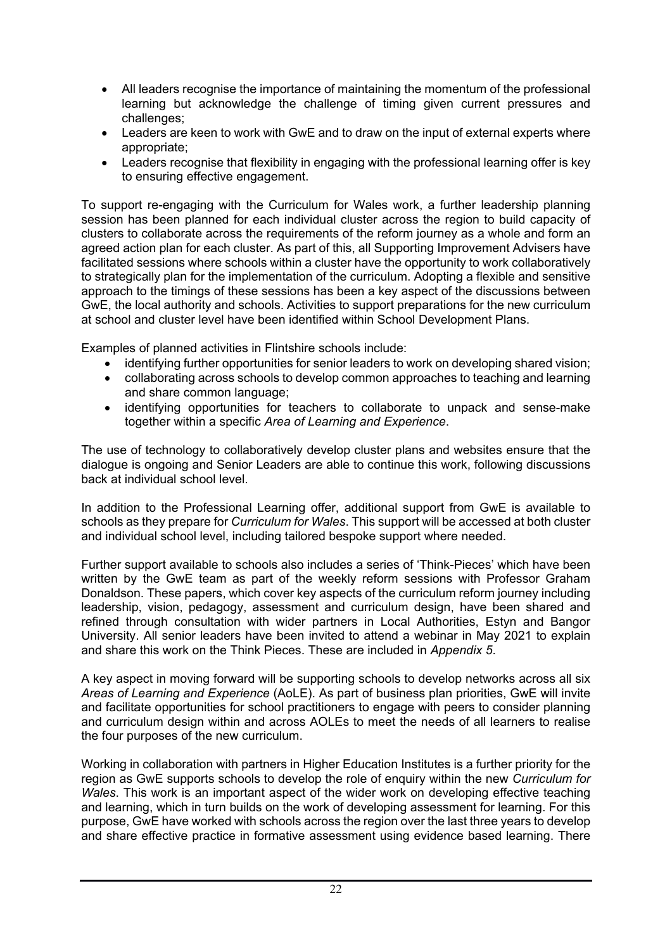- All leaders recognise the importance of maintaining the momentum of the professional learning but acknowledge the challenge of timing given current pressures and challenges;
- Leaders are keen to work with GwE and to draw on the input of external experts where appropriate;
- Leaders recognise that flexibility in engaging with the professional learning offer is key to ensuring effective engagement.

To support re-engaging with the Curriculum for Wales work, a further leadership planning session has been planned for each individual cluster across the region to build capacity of clusters to collaborate across the requirements of the reform journey as a whole and form an agreed action plan for each cluster. As part of this, all Supporting Improvement Advisers have facilitated sessions where schools within a cluster have the opportunity to work collaboratively to strategically plan for the implementation of the curriculum. Adopting a flexible and sensitive approach to the timings of these sessions has been a key aspect of the discussions between GwE, the local authority and schools. Activities to support preparations for the new curriculum at school and cluster level have been identified within School Development Plans.

Examples of planned activities in Flintshire schools include:

- identifying further opportunities for senior leaders to work on developing shared vision;
- collaborating across schools to develop common approaches to teaching and learning and share common language;
- identifying opportunities for teachers to collaborate to unpack and sense-make together within a specific *Area of Learning and Experience*.

The use of technology to collaboratively develop cluster plans and websites ensure that the dialogue is ongoing and Senior Leaders are able to continue this work, following discussions back at individual school level.

In addition to the Professional Learning offer, additional support from GwE is available to schools as they prepare for *Curriculum for Wales*. This support will be accessed at both cluster and individual school level, including tailored bespoke support where needed.

Further support available to schools also includes a series of 'Think-Pieces' which have been written by the GwE team as part of the weekly reform sessions with Professor Graham Donaldson. These papers, which cover key aspects of the curriculum reform journey including leadership, vision, pedagogy, assessment and curriculum design, have been shared and refined through consultation with wider partners in Local Authorities, Estyn and Bangor University. All senior leaders have been invited to attend a webinar in May 2021 to explain and share this work on the Think Pieces. These are included in *Appendix 5*.

A key aspect in moving forward will be supporting schools to develop networks across all six *Areas of Learning and Experience* (AoLE). As part of business plan priorities, GwE will invite and facilitate opportunities for school practitioners to engage with peers to consider planning and curriculum design within and across AOLEs to meet the needs of all learners to realise the four purposes of the new curriculum.

Working in collaboration with partners in Higher Education Institutes is a further priority for the region as GwE supports schools to develop the role of enquiry within the new *Curriculum for Wales*. This work is an important aspect of the wider work on developing effective teaching and learning, which in turn builds on the work of developing assessment for learning. For this purpose, GwE have worked with schools across the region over the last three years to develop and share effective practice in formative assessment using evidence based learning. There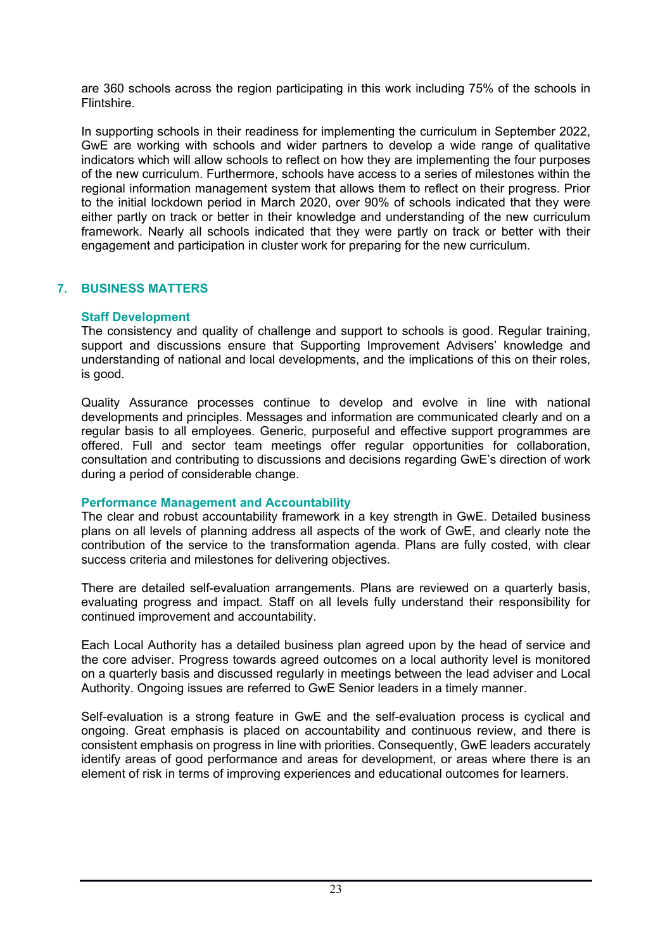are 360 schools across the region participating in this work including 75% of the schools in Flintshire.

In supporting schools in their readiness for implementing the curriculum in September 2022, GwE are working with schools and wider partners to develop a wide range of qualitative indicators which will allow schools to reflect on how they are implementing the four purposes of the new curriculum. Furthermore, schools have access to a series of milestones within the regional information management system that allows them to reflect on their progress. Prior to the initial lockdown period in March 2020, over 90% of schools indicated that they were either partly on track or better in their knowledge and understanding of the new curriculum framework. Nearly all schools indicated that they were partly on track or better with their engagement and participation in cluster work for preparing for the new curriculum.

## **7. BUSINESS MATTERS**

## **Staff Development**

The consistency and quality of challenge and support to schools is good. Regular training, support and discussions ensure that Supporting Improvement Advisers' knowledge and understanding of national and local developments, and the implications of this on their roles, is good.

Quality Assurance processes continue to develop and evolve in line with national developments and principles. Messages and information are communicated clearly and on a regular basis to all employees. Generic, purposeful and effective support programmes are offered. Full and sector team meetings offer regular opportunities for collaboration, consultation and contributing to discussions and decisions regarding GwE's direction of work during a period of considerable change.

## **Performance Management and Accountability**

The clear and robust accountability framework in a key strength in GwE. Detailed business plans on all levels of planning address all aspects of the work of GwE, and clearly note the contribution of the service to the transformation agenda. Plans are fully costed, with clear success criteria and milestones for delivering objectives.

There are detailed self-evaluation arrangements. Plans are reviewed on a quarterly basis, evaluating progress and impact. Staff on all levels fully understand their responsibility for continued improvement and accountability.

Each Local Authority has a detailed business plan agreed upon by the head of service and the core adviser. Progress towards agreed outcomes on a local authority level is monitored on a quarterly basis and discussed regularly in meetings between the lead adviser and Local Authority. Ongoing issues are referred to GwE Senior leaders in a timely manner.

Self-evaluation is a strong feature in GwE and the self-evaluation process is cyclical and ongoing. Great emphasis is placed on accountability and continuous review, and there is consistent emphasis on progress in line with priorities. Consequently, GwE leaders accurately identify areas of good performance and areas for development, or areas where there is an element of risk in terms of improving experiences and educational outcomes for learners.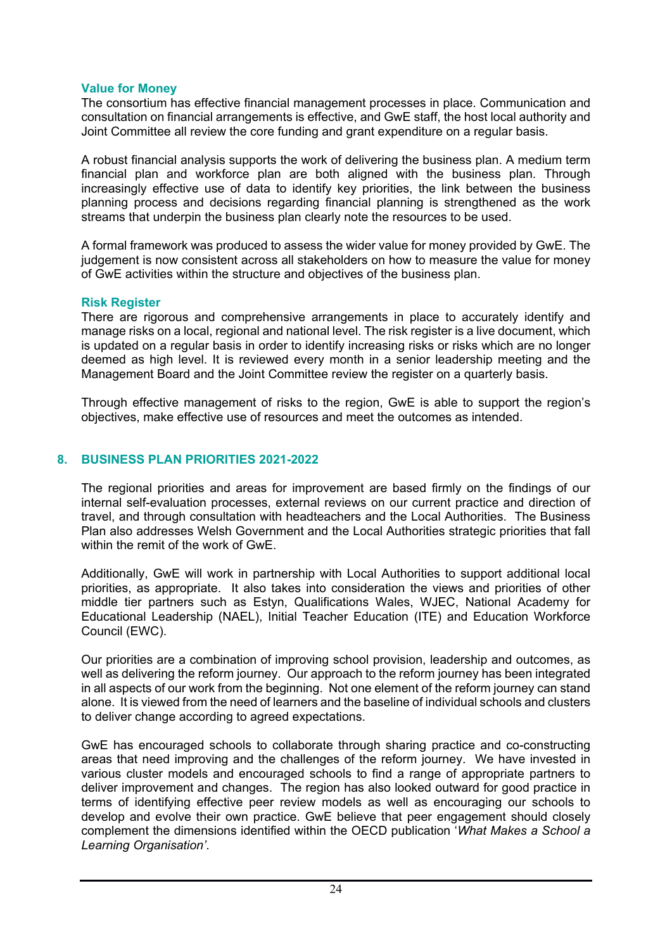#### **Value for Money**

The consortium has effective financial management processes in place. Communication and consultation on financial arrangements is effective, and GwE staff, the host local authority and Joint Committee all review the core funding and grant expenditure on a regular basis.

A robust financial analysis supports the work of delivering the business plan. A medium term financial plan and workforce plan are both aligned with the business plan. Through increasingly effective use of data to identify key priorities, the link between the business planning process and decisions regarding financial planning is strengthened as the work streams that underpin the business plan clearly note the resources to be used.

A formal framework was produced to assess the wider value for money provided by GwE. The judgement is now consistent across all stakeholders on how to measure the value for money of GwE activities within the structure and objectives of the business plan.

#### **Risk Register**

There are rigorous and comprehensive arrangements in place to accurately identify and manage risks on a local, regional and national level. The risk register is a live document, which is updated on a regular basis in order to identify increasing risks or risks which are no longer deemed as high level. It is reviewed every month in a senior leadership meeting and the Management Board and the Joint Committee review the register on a quarterly basis.

Through effective management of risks to the region, GwE is able to support the region's objectives, make effective use of resources and meet the outcomes as intended.

## **8. BUSINESS PLAN PRIORITIES 2021-2022**

The regional priorities and areas for improvement are based firmly on the findings of our internal self-evaluation processes, external reviews on our current practice and direction of travel, and through consultation with headteachers and the Local Authorities. The Business Plan also addresses Welsh Government and the Local Authorities strategic priorities that fall within the remit of the work of GwE.

Additionally, GwE will work in partnership with Local Authorities to support additional local priorities, as appropriate. It also takes into consideration the views and priorities of other middle tier partners such as Estyn, Qualifications Wales, WJEC, National Academy for Educational Leadership (NAEL), Initial Teacher Education (ITE) and Education Workforce Council (EWC).

Our priorities are a combination of improving school provision, leadership and outcomes, as well as delivering the reform journey. Our approach to the reform journey has been integrated in all aspects of our work from the beginning. Not one element of the reform journey can stand alone. It is viewed from the need of learners and the baseline of individual schools and clusters to deliver change according to agreed expectations.

GwE has encouraged schools to collaborate through sharing practice and co-constructing areas that need improving and the challenges of the reform journey. We have invested in various cluster models and encouraged schools to find a range of appropriate partners to deliver improvement and changes. The region has also looked outward for good practice in terms of identifying effective peer review models as well as encouraging our schools to develop and evolve their own practice. GwE believe that peer engagement should closely complement the dimensions identified within the OECD publication '*What Makes a School a Learning Organisation'*.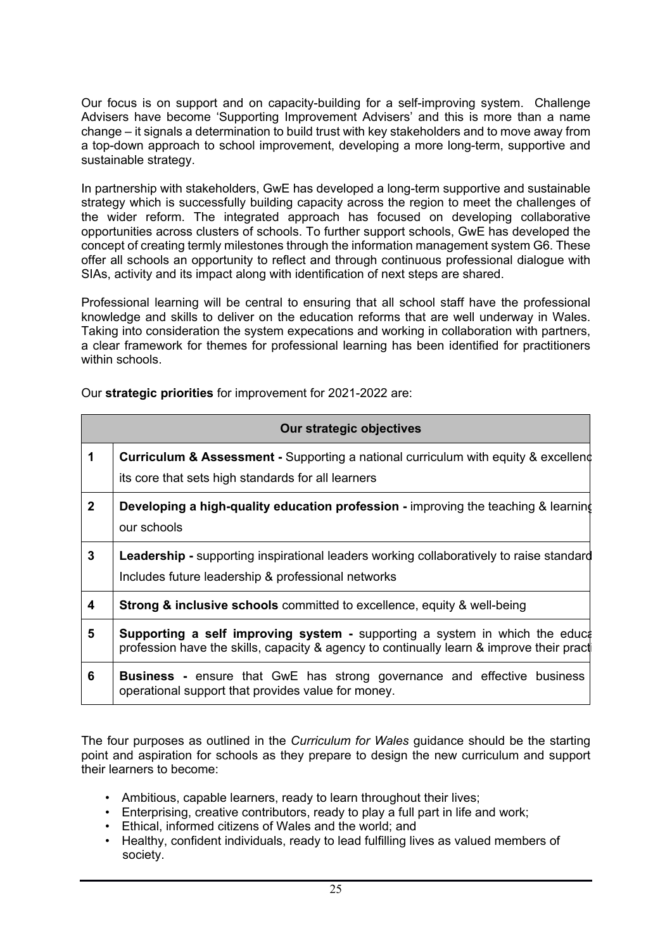Our focus is on support and on capacity-building for a self-improving system. Challenge Advisers have become 'Supporting Improvement Advisers' and this is more than a name change – it signals a determination to build trust with key stakeholders and to move away from a top-down approach to school improvement, developing a more long-term, supportive and sustainable strategy.

In partnership with stakeholders, GwE has developed a long-term supportive and sustainable strategy which is successfully building capacity across the region to meet the challenges of the wider reform. The integrated approach has focused on developing collaborative opportunities across clusters of schools. To further support schools, GwE has developed the concept of creating termly milestones through the information management system G6. These offer all schools an opportunity to reflect and through continuous professional dialogue with SIAs, activity and its impact along with identification of next steps are shared.

Professional learning will be central to ensuring that all school staff have the professional knowledge and skills to deliver on the education reforms that are well underway in Wales. Taking into consideration the system expecations and working in collaboration with partners, a clear framework for themes for professional learning has been identified for practitioners within schools.

| Our strategic objectives |                                                                                                                                                                                |  |
|--------------------------|--------------------------------------------------------------------------------------------------------------------------------------------------------------------------------|--|
| 1                        | <b>Curriculum &amp; Assessment -</b> Supporting a national curriculum with equity & excellend<br>its core that sets high standards for all learners                            |  |
| $\mathbf{2}$             | <b>Developing a high-quality education profession - improving the teaching &amp; learning</b><br>our schools                                                                   |  |
| $\mathbf{3}$             | <b>Leadership -</b> supporting inspirational leaders working collaboratively to raise standard<br>Includes future leadership & professional networks                           |  |
| 4                        | <b>Strong &amp; inclusive schools</b> committed to excellence, equity & well-being                                                                                             |  |
| 5                        | <b>Supporting a self improving system -</b> supporting a system in which the educt<br>profession have the skills, capacity & agency to continually learn & improve their pract |  |
| 6                        | <b>Business</b> - ensure that GwE has strong governance and effective business<br>operational support that provides value for money.                                           |  |

Our **strategic priorities** for improvement for 2021-2022 are:

The four purposes as outlined in the *Curriculum for Wales* guidance should be the starting point and aspiration for schools as they prepare to design the new curriculum and support their learners to become:

- Ambitious, capable learners, ready to learn throughout their lives;
- Enterprising, creative contributors, ready to play a full part in life and work;
- Ethical, informed citizens of Wales and the world; and
- Healthy, confident individuals, ready to lead fulfilling lives as valued members of society.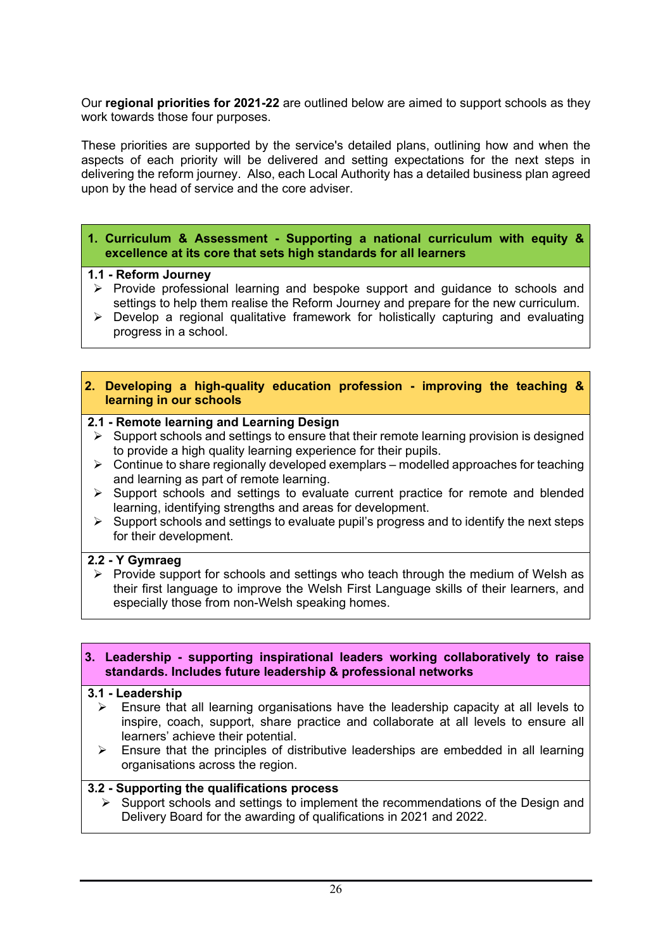Our **regional priorities for 2021-22** are outlined below are aimed to support schools as they work towards those four purposes.

These priorities are supported by the service's detailed plans, outlining how and when the aspects of each priority will be delivered and setting expectations for the next steps in delivering the reform journey. Also, each Local Authority has a detailed business plan agreed upon by the head of service and the core adviser.

#### **1. Curriculum & Assessment - Supporting a national curriculum with equity & excellence at its core that sets high standards for all learners**

#### **1.1 - Reform Journey**

- $\triangleright$  Provide professional learning and bespoke support and guidance to schools and settings to help them realise the Reform Journey and prepare for the new curriculum.
- $\triangleright$  Develop a regional qualitative framework for holistically capturing and evaluating progress in a school.

#### **2. Developing a high-quality education profession - improving the teaching & learning in our schools**

#### **2.1 - Remote learning and Learning Design**

- $\triangleright$  Support schools and settings to ensure that their remote learning provision is designed to provide a high quality learning experience for their pupils.
- $\triangleright$  Continue to share regionally developed exemplars modelled approaches for teaching and learning as part of remote learning.
- $\triangleright$  Support schools and settings to evaluate current practice for remote and blended learning, identifying strengths and areas for development.
- $\triangleright$  Support schools and settings to evaluate pupil's progress and to identify the next steps for their development.

#### **2.2 - Y Gymraeg**

 $\triangleright$  Provide support for schools and settings who teach through the medium of Welsh as their first language to improve the Welsh First Language skills of their learners, and especially those from non-Welsh speaking homes.

#### **3. Leadership - supporting inspirational leaders working collaboratively to raise standards. Includes future leadership & professional networks**

#### **3.1 - Leadership**

- $\triangleright$  Ensure that all learning organisations have the leadership capacity at all levels to inspire, coach, support, share practice and collaborate at all levels to ensure all learners' achieve their potential.
- $\triangleright$  Ensure that the principles of distributive leaderships are embedded in all learning organisations across the region.

#### **3.2 - Supporting the qualifications process**

 $\triangleright$  Support schools and settings to implement the recommendations of the Design and Delivery Board for the awarding of qualifications in 2021 and 2022.